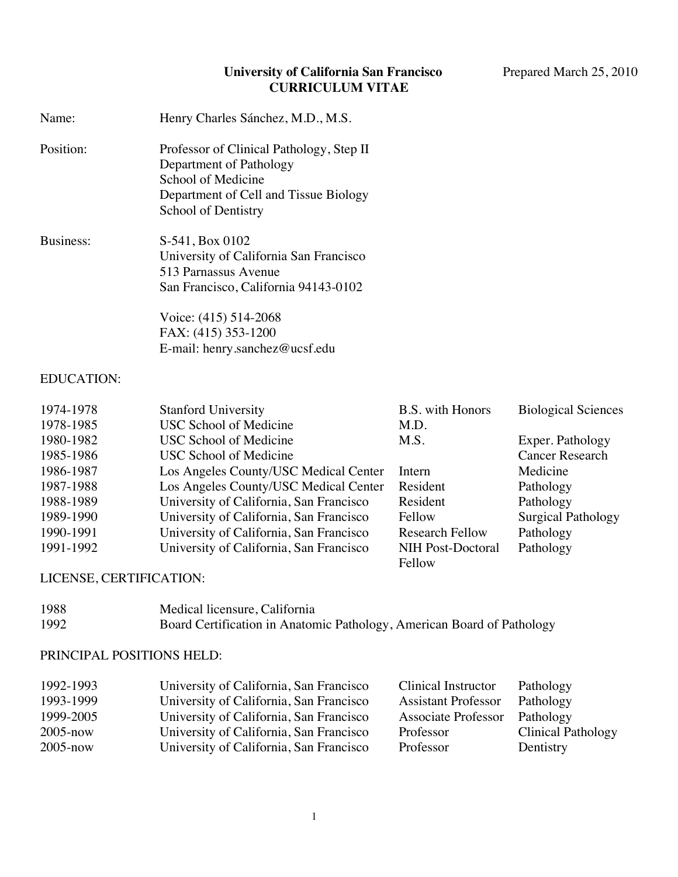#### **University of California San Francisco** Prepared March 25, 2010 **CURRICULUM VITAE**

| Name:                                                                                                                                                     | Henry Charles Sánchez, M.D., M.S.                                                                                                                                                                                                                                                                                                                                                           |                                                                                                                                                     |                                                                                                                                                                       |
|-----------------------------------------------------------------------------------------------------------------------------------------------------------|---------------------------------------------------------------------------------------------------------------------------------------------------------------------------------------------------------------------------------------------------------------------------------------------------------------------------------------------------------------------------------------------|-----------------------------------------------------------------------------------------------------------------------------------------------------|-----------------------------------------------------------------------------------------------------------------------------------------------------------------------|
| Position:                                                                                                                                                 | Professor of Clinical Pathology, Step II<br>Department of Pathology<br>School of Medicine<br>Department of Cell and Tissue Biology<br>School of Dentistry                                                                                                                                                                                                                                   |                                                                                                                                                     |                                                                                                                                                                       |
| Business:                                                                                                                                                 | S-541, Box 0102<br>University of California San Francisco<br>513 Parnassus Avenue<br>San Francisco, California 94143-0102<br>Voice: (415) 514-2068<br>FAX: (415) 353-1200<br>E-mail: henry.sanchez@ucsf.edu                                                                                                                                                                                 |                                                                                                                                                     |                                                                                                                                                                       |
| <b>EDUCATION:</b>                                                                                                                                         |                                                                                                                                                                                                                                                                                                                                                                                             |                                                                                                                                                     |                                                                                                                                                                       |
| 1974-1978<br>1978-1985<br>1980-1982<br>1985-1986<br>1986-1987<br>1987-1988<br>1988-1989<br>1989-1990<br>1990-1991<br>1991-1992<br>LICENSE, CERTIFICATION: | <b>Stanford University</b><br><b>USC School of Medicine</b><br><b>USC School of Medicine</b><br><b>USC School of Medicine</b><br>Los Angeles County/USC Medical Center<br>Los Angeles County/USC Medical Center<br>University of California, San Francisco<br>University of California, San Francisco<br>University of California, San Francisco<br>University of California, San Francisco | <b>B.S.</b> with Honors<br>M.D.<br>M.S.<br>Intern<br>Resident<br>Resident<br>Fellow<br><b>Research Fellow</b><br><b>NIH Post-Doctoral</b><br>Fellow | <b>Biological Sciences</b><br>Exper. Pathology<br><b>Cancer Research</b><br>Medicine<br>Pathology<br>Pathology<br><b>Surgical Pathology</b><br>Pathology<br>Pathology |
| 1988<br>1992                                                                                                                                              | Medical licensure, California<br>Board Certification in Anatomic Pathology, American Board of Pathology                                                                                                                                                                                                                                                                                     |                                                                                                                                                     |                                                                                                                                                                       |
| PRINCIPAL POSITIONS HELD:                                                                                                                                 |                                                                                                                                                                                                                                                                                                                                                                                             |                                                                                                                                                     |                                                                                                                                                                       |

| 1992-1993    | University of California, San Francisco | Clinical Instructor        | Pathology                 |
|--------------|-----------------------------------------|----------------------------|---------------------------|
| 1993-1999    | University of California, San Francisco | <b>Assistant Professor</b> | Pathology                 |
| 1999-2005    | University of California, San Francisco | Associate Professor        | Pathology                 |
| $2005 - now$ | University of California, San Francisco | Professor                  | <b>Clinical Pathology</b> |
| $2005 - now$ | University of California, San Francisco | Professor                  | Dentistry                 |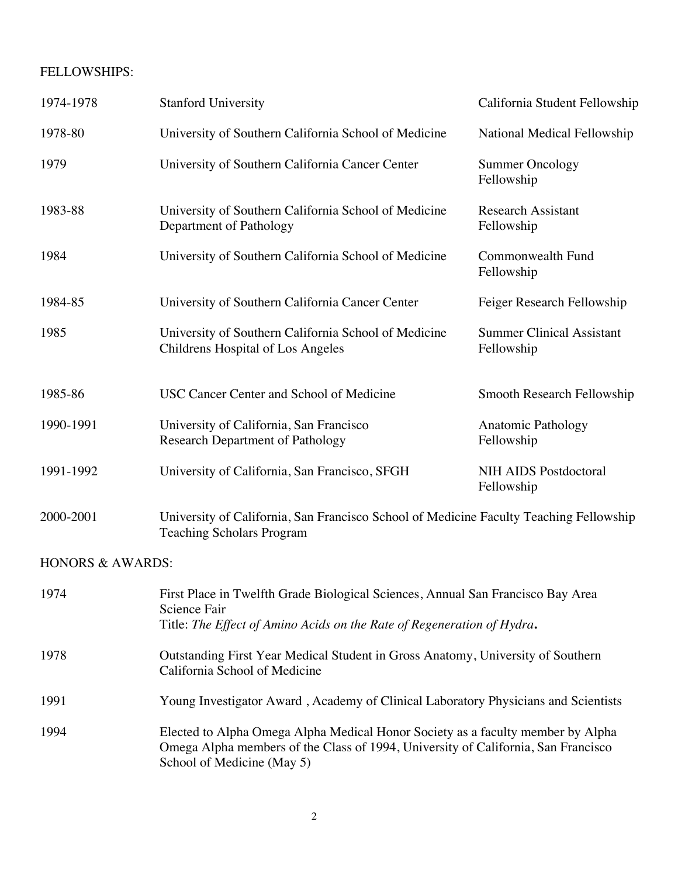#### FELLOWSHIPS:

| 1974-1978                   | <b>Stanford University</b>                                                                                                                                                | California Student Fellowship                  |
|-----------------------------|---------------------------------------------------------------------------------------------------------------------------------------------------------------------------|------------------------------------------------|
| 1978-80                     | University of Southern California School of Medicine                                                                                                                      | National Medical Fellowship                    |
| 1979                        | University of Southern California Cancer Center                                                                                                                           | <b>Summer Oncology</b><br>Fellowship           |
| 1983-88                     | University of Southern California School of Medicine<br>Department of Pathology                                                                                           | <b>Research Assistant</b><br>Fellowship        |
| 1984                        | University of Southern California School of Medicine                                                                                                                      | Commonwealth Fund<br>Fellowship                |
| 1984-85                     | University of Southern California Cancer Center                                                                                                                           | Feiger Research Fellowship                     |
| 1985                        | University of Southern California School of Medicine<br>Childrens Hospital of Los Angeles                                                                                 | <b>Summer Clinical Assistant</b><br>Fellowship |
| 1985-86                     | USC Cancer Center and School of Medicine                                                                                                                                  | Smooth Research Fellowship                     |
| 1990-1991                   | University of California, San Francisco<br><b>Research Department of Pathology</b>                                                                                        | <b>Anatomic Pathology</b><br>Fellowship        |
| 1991-1992                   | University of California, San Francisco, SFGH                                                                                                                             | <b>NIH AIDS Postdoctoral</b><br>Fellowship     |
| 2000-2001                   | University of California, San Francisco School of Medicine Faculty Teaching Fellowship<br><b>Teaching Scholars Program</b>                                                |                                                |
| <b>HONORS &amp; AWARDS:</b> |                                                                                                                                                                           |                                                |
| 1974                        | First Place in Twelfth Grade Biological Sciences, Annual San Francisco Bay Area<br>Science Fair<br>Title: The Effect of Amino Acids on the Rate of Regeneration of Hydra. |                                                |
| 1978                        | Outstanding First Year Medical Student in Gross Anatomy, University of Southern<br>California School of Medicine                                                          |                                                |
| 1991                        | Young Investigator Award, Academy of Clinical Laboratory Physicians and Scientists                                                                                        |                                                |
| $199\Delta$                 | Elected to Alpha Omega Alpha Medical Honor Society as a faculty member by Alpha                                                                                           |                                                |

1994 Elected to Alpha Omega Alpha Medical Honor Society as a faculty member by Alpha Omega Alpha members of the Class of 1994, University of California, San Francisco School of Medicine (May 5)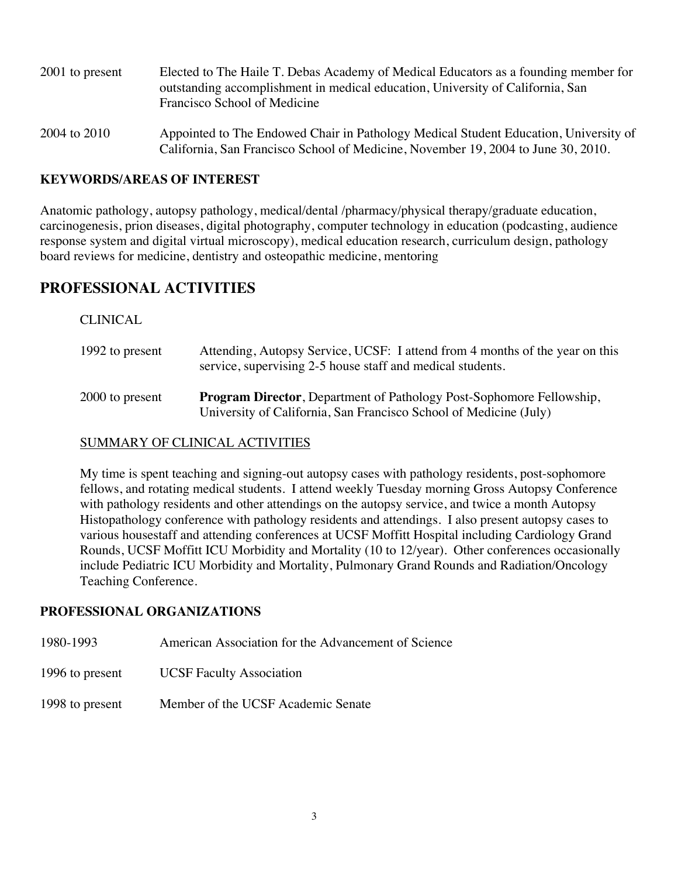| 2001 to present | Elected to The Haile T. Debas Academy of Medical Educators as a founding member for<br>outstanding accomplishment in medical education, University of California, San<br>Francisco School of Medicine |
|-----------------|-------------------------------------------------------------------------------------------------------------------------------------------------------------------------------------------------------|
| 2004 to 2010    | Appointed to The Endowed Chair in Pathology Medical Student Education, University of<br>California, San Francisco School of Medicine, November 19, 2004 to June 30, 2010.                             |

#### **KEYWORDS/AREAS OF INTEREST**

Anatomic pathology, autopsy pathology, medical/dental /pharmacy/physical therapy/graduate education, carcinogenesis, prion diseases, digital photography, computer technology in education (podcasting, audience response system and digital virtual microscopy), medical education research, curriculum design, pathology board reviews for medicine, dentistry and osteopathic medicine, mentoring

# **PROFESSIONAL ACTIVITIES**

#### CLINICAL

| 1992 to present | Attending, Autopsy Service, UCSF: I attend from 4 months of the year on this<br>service, supervising 2-5 house staff and medical students.       |
|-----------------|--------------------------------------------------------------------------------------------------------------------------------------------------|
| 2000 to present | <b>Program Director, Department of Pathology Post-Sophomore Fellowship,</b><br>University of California, San Francisco School of Medicine (July) |

#### SUMMARY OF CLINICAL ACTIVITIES

My time is spent teaching and signing-out autopsy cases with pathology residents, post-sophomore fellows, and rotating medical students. I attend weekly Tuesday morning Gross Autopsy Conference with pathology residents and other attendings on the autopsy service, and twice a month Autopsy Histopathology conference with pathology residents and attendings. I also present autopsy cases to various housestaff and attending conferences at UCSF Moffitt Hospital including Cardiology Grand Rounds, UCSF Moffitt ICU Morbidity and Mortality (10 to 12/year). Other conferences occasionally include Pediatric ICU Morbidity and Mortality, Pulmonary Grand Rounds and Radiation/Oncology Teaching Conference.

#### **PROFESSIONAL ORGANIZATIONS**

- 1980-1993 American Association for the Advancement of Science
- 1996 to present UCSF Faculty Association
- 1998 to present Member of the UCSF Academic Senate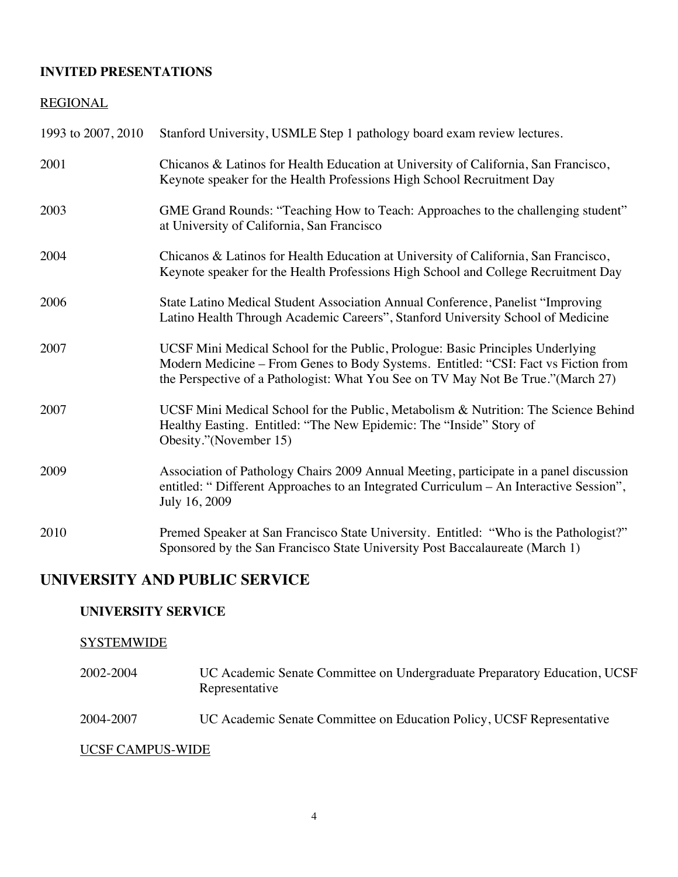#### **INVITED PRESENTATIONS**

#### REGIONAL

| 1993 to 2007, 2010 | Stanford University, USMLE Step 1 pathology board exam review lectures.                                                                                                                                                                                   |
|--------------------|-----------------------------------------------------------------------------------------------------------------------------------------------------------------------------------------------------------------------------------------------------------|
| 2001               | Chicanos & Latinos for Health Education at University of California, San Francisco,<br>Keynote speaker for the Health Professions High School Recruitment Day                                                                                             |
| 2003               | GME Grand Rounds: "Teaching How to Teach: Approaches to the challenging student"<br>at University of California, San Francisco                                                                                                                            |
| 2004               | Chicanos & Latinos for Health Education at University of California, San Francisco,<br>Keynote speaker for the Health Professions High School and College Recruitment Day                                                                                 |
| 2006               | State Latino Medical Student Association Annual Conference, Panelist "Improving<br>Latino Health Through Academic Careers", Stanford University School of Medicine                                                                                        |
| 2007               | UCSF Mini Medical School for the Public, Prologue: Basic Principles Underlying<br>Modern Medicine - From Genes to Body Systems. Entitled: "CSI: Fact vs Fiction from<br>the Perspective of a Pathologist: What You See on TV May Not Be True." (March 27) |
| 2007               | UCSF Mini Medical School for the Public, Metabolism & Nutrition: The Science Behind<br>Healthy Easting. Entitled: "The New Epidemic: The "Inside" Story of<br>Obesity."(November 15)                                                                      |
| 2009               | Association of Pathology Chairs 2009 Annual Meeting, participate in a panel discussion<br>entitled: "Different Approaches to an Integrated Curriculum - An Interactive Session",<br>July 16, 2009                                                         |
| 2010               | Premed Speaker at San Francisco State University. Entitled: "Who is the Pathologist?"<br>Sponsored by the San Francisco State University Post Baccalaureate (March 1)                                                                                     |

# **UNIVERSITY AND PUBLIC SERVICE**

#### **UNIVERSITY SERVICE**

## **SYSTEMWIDE**

- 2002-2004 UC Academic Senate Committee on Undergraduate Preparatory Education, UCSF Representative
- 2004-2007 UC Academic Senate Committee on Education Policy, UCSF Representative

#### UCSF CAMPUS-WIDE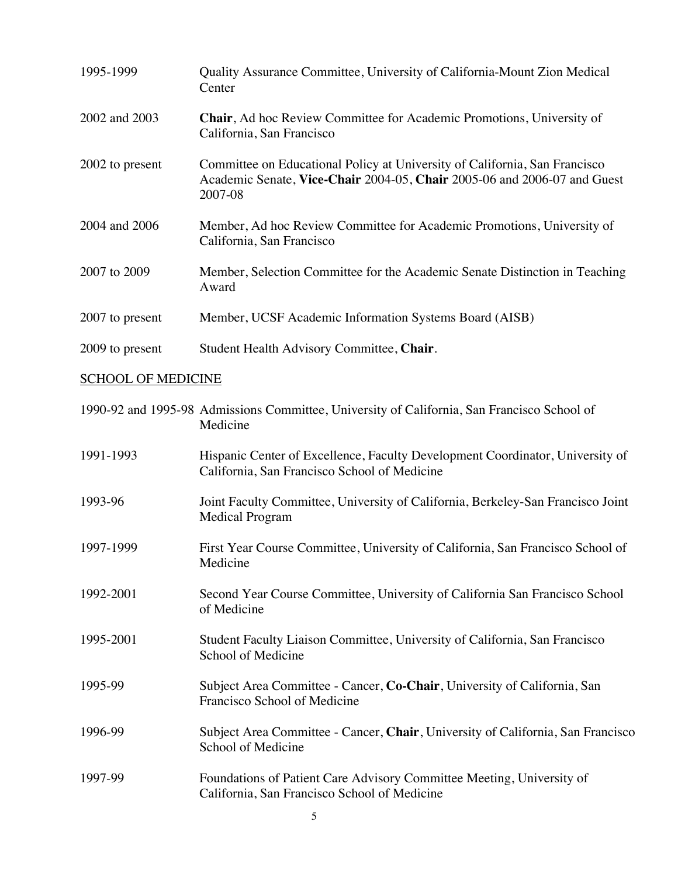| 1995-1999       | Quality Assurance Committee, University of California-Mount Zion Medical<br>Center                                                                                |
|-----------------|-------------------------------------------------------------------------------------------------------------------------------------------------------------------|
| 2002 and 2003   | <b>Chair, Ad hoc Review Committee for Academic Promotions, University of</b><br>California, San Francisco                                                         |
| 2002 to present | Committee on Educational Policy at University of California, San Francisco<br>Academic Senate, Vice-Chair 2004-05, Chair 2005-06 and 2006-07 and Guest<br>2007-08 |
| 2004 and 2006   | Member, Ad hoc Review Committee for Academic Promotions, University of<br>California, San Francisco                                                               |
| 2007 to 2009    | Member, Selection Committee for the Academic Senate Distinction in Teaching<br>Award                                                                              |
| 2007 to present | Member, UCSF Academic Information Systems Board (AISB)                                                                                                            |
| 2009 to present | Student Health Advisory Committee, Chair.                                                                                                                         |

## SCHOOL OF MEDICINE

|           | 1990-92 and 1995-98 Admissions Committee, University of California, San Francisco School of<br>Medicine                       |
|-----------|-------------------------------------------------------------------------------------------------------------------------------|
| 1991-1993 | Hispanic Center of Excellence, Faculty Development Coordinator, University of<br>California, San Francisco School of Medicine |
| 1993-96   | Joint Faculty Committee, University of California, Berkeley-San Francisco Joint<br><b>Medical Program</b>                     |
| 1997-1999 | First Year Course Committee, University of California, San Francisco School of<br>Medicine                                    |
| 1992-2001 | Second Year Course Committee, University of California San Francisco School<br>of Medicine                                    |
| 1995-2001 | Student Faculty Liaison Committee, University of California, San Francisco<br>School of Medicine                              |
| 1995-99   | Subject Area Committee - Cancer, Co-Chair, University of California, San<br>Francisco School of Medicine                      |
| 1996-99   | Subject Area Committee - Cancer, Chair, University of California, San Francisco<br>School of Medicine                         |
| 1997-99   | Foundations of Patient Care Advisory Committee Meeting, University of<br>California, San Francisco School of Medicine         |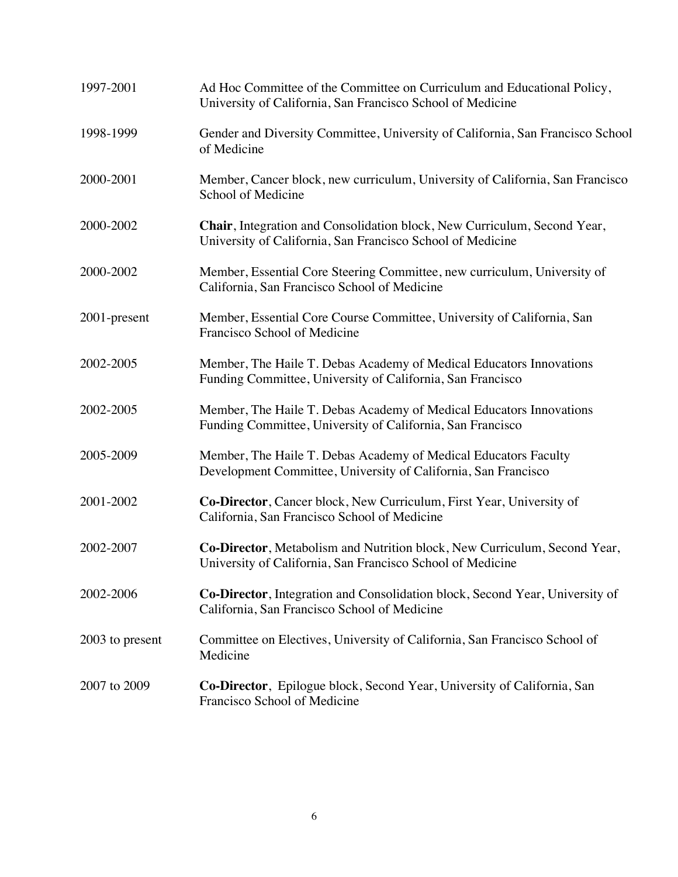| 1997-2001       | Ad Hoc Committee of the Committee on Curriculum and Educational Policy,<br>University of California, San Francisco School of Medicine   |
|-----------------|-----------------------------------------------------------------------------------------------------------------------------------------|
| 1998-1999       | Gender and Diversity Committee, University of California, San Francisco School<br>of Medicine                                           |
| 2000-2001       | Member, Cancer block, new curriculum, University of California, San Francisco<br>School of Medicine                                     |
| 2000-2002       | Chair, Integration and Consolidation block, New Curriculum, Second Year,<br>University of California, San Francisco School of Medicine  |
| 2000-2002       | Member, Essential Core Steering Committee, new curriculum, University of<br>California, San Francisco School of Medicine                |
| 2001-present    | Member, Essential Core Course Committee, University of California, San<br>Francisco School of Medicine                                  |
| 2002-2005       | Member, The Haile T. Debas Academy of Medical Educators Innovations<br>Funding Committee, University of California, San Francisco       |
| 2002-2005       | Member, The Haile T. Debas Academy of Medical Educators Innovations<br>Funding Committee, University of California, San Francisco       |
| 2005-2009       | Member, The Haile T. Debas Academy of Medical Educators Faculty<br>Development Committee, University of California, San Francisco       |
| 2001-2002       | Co-Director, Cancer block, New Curriculum, First Year, University of<br>California, San Francisco School of Medicine                    |
| 2002-2007       | Co-Director, Metabolism and Nutrition block, New Curriculum, Second Year,<br>University of California, San Francisco School of Medicine |
| 2002-2006       | Co-Director, Integration and Consolidation block, Second Year, University of<br>California, San Francisco School of Medicine            |
| 2003 to present | Committee on Electives, University of California, San Francisco School of<br>Medicine                                                   |
| 2007 to 2009    | Co-Director, Epilogue block, Second Year, University of California, San<br>Francisco School of Medicine                                 |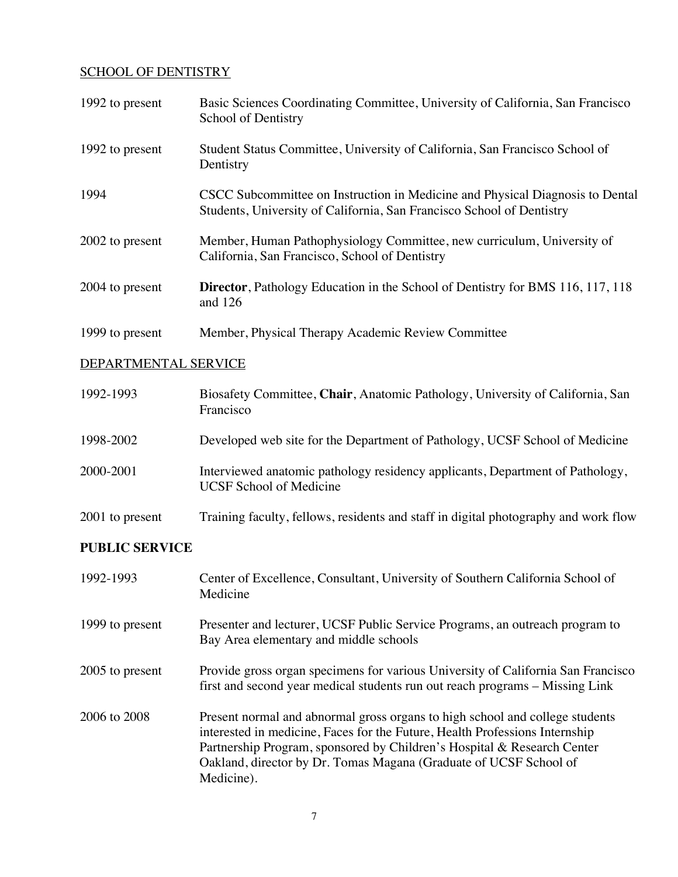#### SCHOOL OF DENTISTRY

| 1992 to present       | Basic Sciences Coordinating Committee, University of California, San Francisco<br>School of Dentistry                                                            |
|-----------------------|------------------------------------------------------------------------------------------------------------------------------------------------------------------|
| 1992 to present       | Student Status Committee, University of California, San Francisco School of<br>Dentistry                                                                         |
| 1994                  | CSCC Subcommittee on Instruction in Medicine and Physical Diagnosis to Dental<br>Students, University of California, San Francisco School of Dentistry           |
| 2002 to present       | Member, Human Pathophysiology Committee, new curriculum, University of<br>California, San Francisco, School of Dentistry                                         |
| 2004 to present       | <b>Director</b> , Pathology Education in the School of Dentistry for BMS 116, 117, 118<br>and 126                                                                |
| 1999 to present       | Member, Physical Therapy Academic Review Committee                                                                                                               |
| DEPARTMENTAL SERVICE  |                                                                                                                                                                  |
| 1992-1993             | Biosafety Committee, Chair, Anatomic Pathology, University of California, San<br>Francisco                                                                       |
| 1998-2002             | Developed web site for the Department of Pathology, UCSF School of Medicine                                                                                      |
| 2000-2001             | Interviewed anatomic pathology residency applicants, Department of Pathology,<br><b>UCSF School of Medicine</b>                                                  |
| 2001 to present       | Training faculty, fellows, residents and staff in digital photography and work flow                                                                              |
| <b>PUBLIC SERVICE</b> |                                                                                                                                                                  |
| 1992-1993             | Center of Excellence, Consultant, University of Southern California School of<br>Medicine                                                                        |
| 1999 to present       | Presenter and lecturer, UCSF Public Service Programs, an outreach program to<br>Bay Area elementary and middle schools                                           |
| 2005 to present       | Provide gross organ specimens for various University of California San Francisco<br>first and second year medical students run out reach programs - Missing Link |

2006 to 2008 Present normal and abnormal gross organs to high school and college students interested in medicine, Faces for the Future, Health Professions Internship Partnership Program, sponsored by Children's Hospital & Research Center Oakland, director by Dr. Tomas Magana (Graduate of UCSF School of Medicine).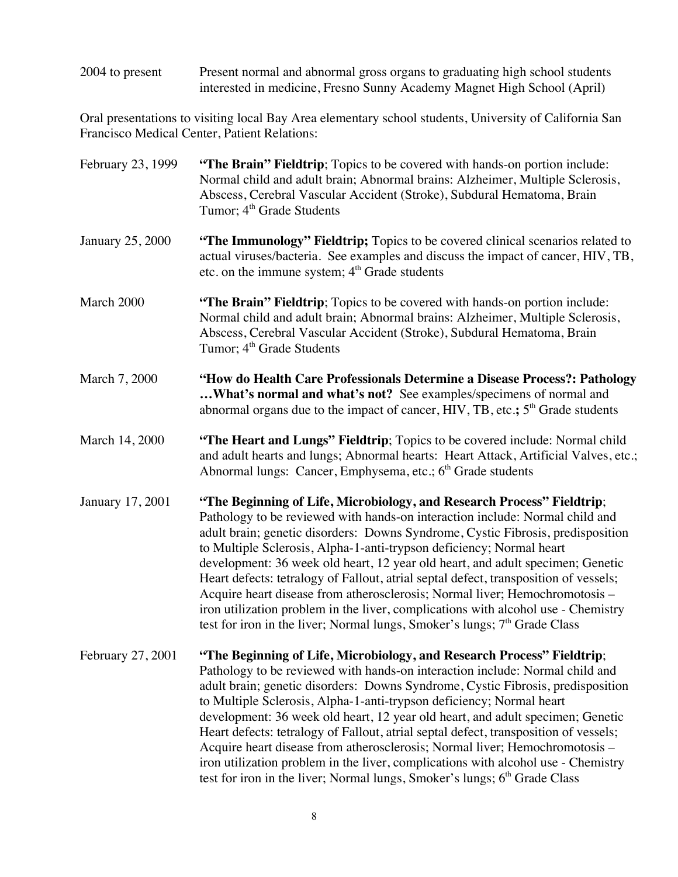2004 to present Present normal and abnormal gross organs to graduating high school students interested in medicine, Fresno Sunny Academy Magnet High School (April)

Oral presentations to visiting local Bay Area elementary school students, University of California San Francisco Medical Center, Patient Relations:

| February 23, 1999       | "The Brain" Fieldtrip; Topics to be covered with hands-on portion include:<br>Normal child and adult brain; Abnormal brains: Alzheimer, Multiple Sclerosis,<br>Abscess, Cerebral Vascular Accident (Stroke), Subdural Hematoma, Brain<br>Tumor; 4 <sup>th</sup> Grade Students                                                                                                                                                                                                                                                                                                                                                                                                                                                                           |
|-------------------------|----------------------------------------------------------------------------------------------------------------------------------------------------------------------------------------------------------------------------------------------------------------------------------------------------------------------------------------------------------------------------------------------------------------------------------------------------------------------------------------------------------------------------------------------------------------------------------------------------------------------------------------------------------------------------------------------------------------------------------------------------------|
| <b>January 25, 2000</b> | "The Immunology" Fieldtrip; Topics to be covered clinical scenarios related to<br>actual viruses/bacteria. See examples and discuss the impact of cancer, HIV, TB,<br>etc. on the immune system; $4th$ Grade students                                                                                                                                                                                                                                                                                                                                                                                                                                                                                                                                    |
| March 2000              | "The Brain" Fieldtrip; Topics to be covered with hands-on portion include:<br>Normal child and adult brain; Abnormal brains: Alzheimer, Multiple Sclerosis,<br>Abscess, Cerebral Vascular Accident (Stroke), Subdural Hematoma, Brain<br>Tumor; 4 <sup>th</sup> Grade Students                                                                                                                                                                                                                                                                                                                                                                                                                                                                           |
| March 7, 2000           | "How do Health Care Professionals Determine a Disease Process?: Pathology<br>What's normal and what's not? See examples/specimens of normal and<br>abnormal organs due to the impact of cancer, HIV, TB, etc.; 5 <sup>th</sup> Grade students                                                                                                                                                                                                                                                                                                                                                                                                                                                                                                            |
| March 14, 2000          | "The Heart and Lungs" Fieldtrip; Topics to be covered include: Normal child<br>and adult hearts and lungs; Abnormal hearts: Heart Attack, Artificial Valves, etc.;<br>Abnormal lungs: Cancer, Emphysema, etc.; 6 <sup>th</sup> Grade students                                                                                                                                                                                                                                                                                                                                                                                                                                                                                                            |
| January 17, 2001        | "The Beginning of Life, Microbiology, and Research Process" Fieldtrip;<br>Pathology to be reviewed with hands-on interaction include: Normal child and<br>adult brain; genetic disorders: Downs Syndrome, Cystic Fibrosis, predisposition<br>to Multiple Sclerosis, Alpha-1-anti-trypson deficiency; Normal heart<br>development: 36 week old heart, 12 year old heart, and adult specimen; Genetic<br>Heart defects: tetralogy of Fallout, atrial septal defect, transposition of vessels;<br>Acquire heart disease from atherosclerosis; Normal liver; Hemochromotosis -<br>iron utilization problem in the liver, complications with alcohol use - Chemistry<br>test for iron in the liver; Normal lungs, Smoker's lungs; $7th$ Grade Class           |
| February 27, 2001       | "The Beginning of Life, Microbiology, and Research Process" Fieldtrip;<br>Pathology to be reviewed with hands-on interaction include: Normal child and<br>adult brain; genetic disorders: Downs Syndrome, Cystic Fibrosis, predisposition<br>to Multiple Sclerosis, Alpha-1-anti-trypson deficiency; Normal heart<br>development: 36 week old heart, 12 year old heart, and adult specimen; Genetic<br>Heart defects: tetralogy of Fallout, atrial septal defect, transposition of vessels;<br>Acquire heart disease from atherosclerosis; Normal liver; Hemochromotosis -<br>iron utilization problem in the liver, complications with alcohol use - Chemistry<br>test for iron in the liver; Normal lungs, Smoker's lungs; 6 <sup>th</sup> Grade Class |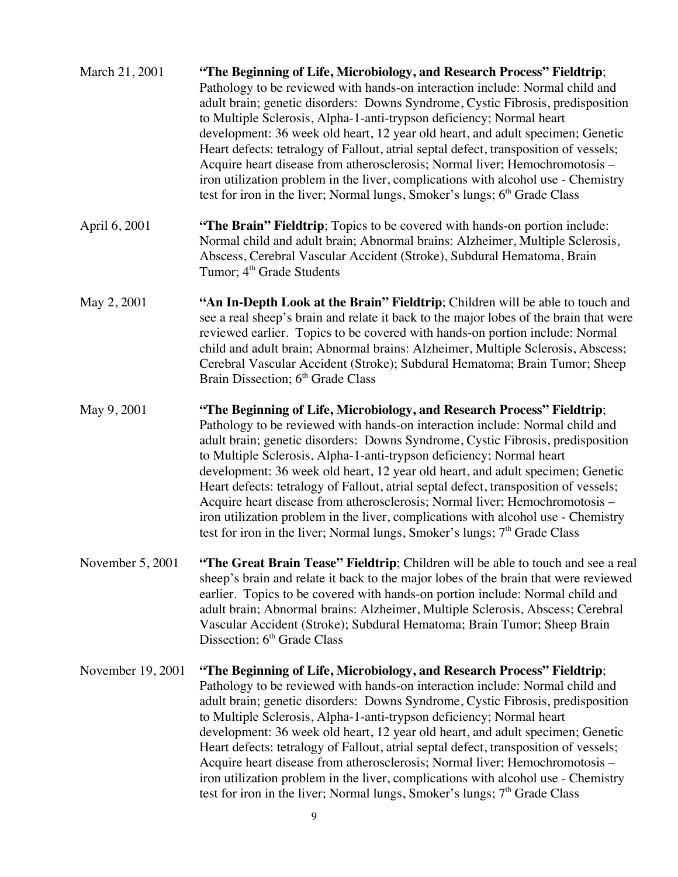| March 21, 2001    | "The Beginning of Life, Microbiology, and Research Process" Fieldtrip;<br>Pathology to be reviewed with hands-on interaction include: Normal child and<br>adult brain; genetic disorders: Downs Syndrome, Cystic Fibrosis, predisposition<br>to Multiple Sclerosis, Alpha-1-anti-trypson deficiency; Normal heart<br>development: 36 week old heart, 12 year old heart, and adult specimen; Genetic<br>Heart defects: tetralogy of Fallout, atrial septal defect, transposition of vessels;<br>Acquire heart disease from atherosclerosis; Normal liver; Hemochromotosis -<br>iron utilization problem in the liver, complications with alcohol use - Chemistry<br>test for iron in the liver; Normal lungs, Smoker's lungs; 6 <sup>th</sup> Grade Class |
|-------------------|----------------------------------------------------------------------------------------------------------------------------------------------------------------------------------------------------------------------------------------------------------------------------------------------------------------------------------------------------------------------------------------------------------------------------------------------------------------------------------------------------------------------------------------------------------------------------------------------------------------------------------------------------------------------------------------------------------------------------------------------------------|
| April 6, 2001     | "The Brain" Fieldtrip; Topics to be covered with hands-on portion include:<br>Normal child and adult brain; Abnormal brains: Alzheimer, Multiple Sclerosis,<br>Abscess, Cerebral Vascular Accident (Stroke), Subdural Hematoma, Brain<br>Tumor; 4 <sup>th</sup> Grade Students                                                                                                                                                                                                                                                                                                                                                                                                                                                                           |
| May 2, 2001       | "An In-Depth Look at the Brain" Fieldtrip; Children will be able to touch and<br>see a real sheep's brain and relate it back to the major lobes of the brain that were<br>reviewed earlier. Topics to be covered with hands-on portion include: Normal<br>child and adult brain; Abnormal brains: Alzheimer, Multiple Sclerosis, Abscess;<br>Cerebral Vascular Accident (Stroke); Subdural Hematoma; Brain Tumor; Sheep<br>Brain Dissection; 6 <sup>th</sup> Grade Class                                                                                                                                                                                                                                                                                 |
| May 9, 2001       | "The Beginning of Life, Microbiology, and Research Process" Fieldtrip;<br>Pathology to be reviewed with hands-on interaction include: Normal child and<br>adult brain; genetic disorders: Downs Syndrome, Cystic Fibrosis, predisposition<br>to Multiple Sclerosis, Alpha-1-anti-trypson deficiency; Normal heart<br>development: 36 week old heart, 12 year old heart, and adult specimen; Genetic<br>Heart defects: tetralogy of Fallout, atrial septal defect, transposition of vessels;<br>Acquire heart disease from atherosclerosis; Normal liver; Hemochromotosis -<br>iron utilization problem in the liver, complications with alcohol use - Chemistry<br>test for iron in the liver; Normal lungs, Smoker's lungs; 7 <sup>th</sup> Grade Class |
| November 5, 2001  | "The Great Brain Tease" Fieldtrip; Children will be able to touch and see a real<br>sheep's brain and relate it back to the major lobes of the brain that were reviewed<br>earlier. Topics to be covered with hands-on portion include: Normal child and<br>adult brain; Abnormal brains: Alzheimer, Multiple Sclerosis, Abscess; Cerebral<br>Vascular Accident (Stroke); Subdural Hematoma; Brain Tumor; Sheep Brain<br>Dissection; 6 <sup>th</sup> Grade Class                                                                                                                                                                                                                                                                                         |
| November 19, 2001 | "The Beginning of Life, Microbiology, and Research Process" Fieldtrip;<br>Pathology to be reviewed with hands-on interaction include: Normal child and<br>adult brain; genetic disorders: Downs Syndrome, Cystic Fibrosis, predisposition<br>to Multiple Sclerosis, Alpha-1-anti-trypson deficiency; Normal heart<br>development: 36 week old heart, 12 year old heart, and adult specimen; Genetic<br>Heart defects: tetralogy of Fallout, atrial septal defect, transposition of vessels;<br>Acquire heart disease from atherosclerosis; Normal liver; Hemochromotosis -<br>iron utilization problem in the liver, complications with alcohol use - Chemistry<br>test for iron in the liver; Normal lungs, Smoker's lungs; $7th$ Grade Class           |
|                   | 9                                                                                                                                                                                                                                                                                                                                                                                                                                                                                                                                                                                                                                                                                                                                                        |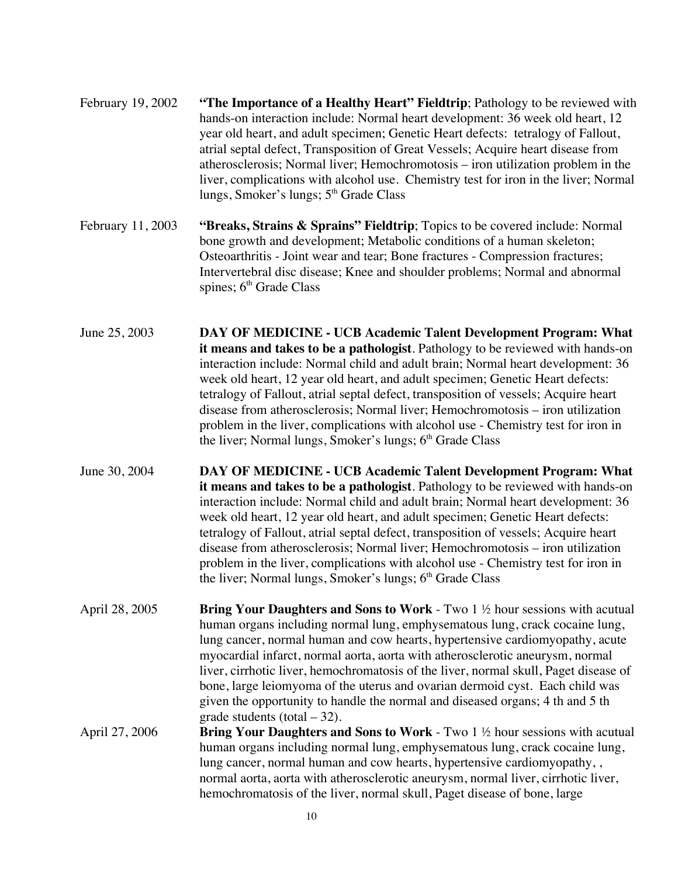| February 19, 2002 | "The Importance of a Healthy Heart" Fieldtrip; Pathology to be reviewed with<br>hands-on interaction include: Normal heart development: 36 week old heart, 12<br>year old heart, and adult specimen; Genetic Heart defects: tetralogy of Fallout,<br>atrial septal defect, Transposition of Great Vessels; Acquire heart disease from<br>atherosclerosis; Normal liver; Hemochromotosis – iron utilization problem in the<br>liver, complications with alcohol use. Chemistry test for iron in the liver; Normal<br>lungs, Smoker's lungs; 5 <sup>th</sup> Grade Class                                                                                      |
|-------------------|-------------------------------------------------------------------------------------------------------------------------------------------------------------------------------------------------------------------------------------------------------------------------------------------------------------------------------------------------------------------------------------------------------------------------------------------------------------------------------------------------------------------------------------------------------------------------------------------------------------------------------------------------------------|
| February 11, 2003 | "Breaks, Strains & Sprains" Fieldtrip; Topics to be covered include: Normal<br>bone growth and development; Metabolic conditions of a human skeleton;<br>Osteoarthritis - Joint wear and tear; Bone fractures - Compression fractures;<br>Intervertebral disc disease; Knee and shoulder problems; Normal and abnormal<br>spines; $6th$ Grade Class                                                                                                                                                                                                                                                                                                         |
| June 25, 2003     | DAY OF MEDICINE - UCB Academic Talent Development Program: What<br>it means and takes to be a pathologist. Pathology to be reviewed with hands-on<br>interaction include: Normal child and adult brain; Normal heart development: 36<br>week old heart, 12 year old heart, and adult specimen; Genetic Heart defects:<br>tetralogy of Fallout, atrial septal defect, transposition of vessels; Acquire heart<br>disease from atherosclerosis; Normal liver; Hemochromotosis – iron utilization<br>problem in the liver, complications with alcohol use - Chemistry test for iron in<br>the liver; Normal lungs, Smoker's lungs; 6 <sup>th</sup> Grade Class |
| June 30, 2004     | DAY OF MEDICINE - UCB Academic Talent Development Program: What<br>it means and takes to be a pathologist. Pathology to be reviewed with hands-on<br>interaction include: Normal child and adult brain; Normal heart development: 36<br>week old heart, 12 year old heart, and adult specimen; Genetic Heart defects:<br>tetralogy of Fallout, atrial septal defect, transposition of vessels; Acquire heart<br>disease from atherosclerosis; Normal liver; Hemochromotosis - iron utilization<br>problem in the liver, complications with alcohol use - Chemistry test for iron in<br>the liver; Normal lungs, Smoker's lungs; 6 <sup>th</sup> Grade Class |
| April 28, 2005    | <b>Bring Your Daughters and Sons to Work</b> - Two $1 \frac{1}{2}$ hour sessions with acutual<br>human organs including normal lung, emphysematous lung, crack cocaine lung,<br>lung cancer, normal human and cow hearts, hypertensive cardiomyopathy, acute<br>myocardial infarct, normal aorta, aorta with atherosclerotic aneurysm, normal<br>liver, cirrhotic liver, hemochromatosis of the liver, normal skull, Paget disease of<br>bone, large leiomyoma of the uterus and ovarian dermoid cyst. Each child was<br>given the opportunity to handle the normal and diseased organs; 4 th and 5 th<br>grade students (total $-32$ ).                    |
| April 27, 2006    | <b>Bring Your Daughters and Sons to Work</b> - Two $1 \frac{1}{2}$ hour sessions with acutual<br>human organs including normal lung, emphysematous lung, crack cocaine lung,<br>lung cancer, normal human and cow hearts, hypertensive cardiomyopathy, ,<br>normal aorta, aorta with atherosclerotic aneurysm, normal liver, cirrhotic liver,<br>hemochromatosis of the liver, normal skull, Paget disease of bone, large                                                                                                                                                                                                                                   |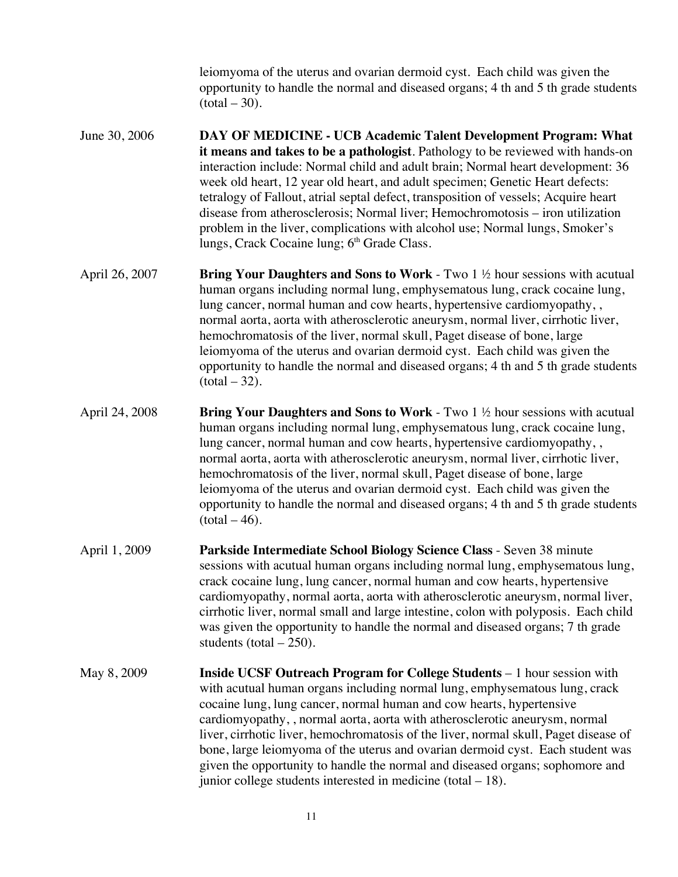leiomyoma of the uterus and ovarian dermoid cyst. Each child was given the opportunity to handle the normal and diseased organs; 4 th and 5 th grade students  $(total – 30)$ .

- June 30, 2006 **DAY OF MEDICINE UCB Academic Talent Development Program: What it means and takes to be a pathologist**. Pathology to be reviewed with hands-on interaction include: Normal child and adult brain; Normal heart development: 36 week old heart, 12 year old heart, and adult specimen; Genetic Heart defects: tetralogy of Fallout, atrial septal defect, transposition of vessels; Acquire heart disease from atherosclerosis; Normal liver; Hemochromotosis – iron utilization problem in the liver, complications with alcohol use; Normal lungs, Smoker's lungs, Crack Cocaine lung;  $6<sup>th</sup>$  Grade Class.
- April 26, 2007 **Bring Your Daughters and Sons to Work** Two 1 ½ hour sessions with acutual human organs including normal lung, emphysematous lung, crack cocaine lung, lung cancer, normal human and cow hearts, hypertensive cardiomyopathy, , normal aorta, aorta with atherosclerotic aneurysm, normal liver, cirrhotic liver, hemochromatosis of the liver, normal skull, Paget disease of bone, large leiomyoma of the uterus and ovarian dermoid cyst. Each child was given the opportunity to handle the normal and diseased organs; 4 th and 5 th grade students  $(total – 32)$ .
- April 24, 2008 **Bring Your Daughters and Sons to Work** Two 1 ½ hour sessions with acutual human organs including normal lung, emphysematous lung, crack cocaine lung, lung cancer, normal human and cow hearts, hypertensive cardiomyopathy, , normal aorta, aorta with atherosclerotic aneurysm, normal liver, cirrhotic liver, hemochromatosis of the liver, normal skull, Paget disease of bone, large leiomyoma of the uterus and ovarian dermoid cyst. Each child was given the opportunity to handle the normal and diseased organs; 4 th and 5 th grade students  $(total – 46)$ .
- April 1, 2009 **Parkside Intermediate School Biology Science Class** Seven 38 minute sessions with acutual human organs including normal lung, emphysematous lung, crack cocaine lung, lung cancer, normal human and cow hearts, hypertensive cardiomyopathy, normal aorta, aorta with atherosclerotic aneurysm, normal liver, cirrhotic liver, normal small and large intestine, colon with polyposis. Each child was given the opportunity to handle the normal and diseased organs; 7 th grade students (total  $-250$ ).
- May 8, 2009 **Inside UCSF Outreach Program for College Students** 1 hour session with with acutual human organs including normal lung, emphysematous lung, crack cocaine lung, lung cancer, normal human and cow hearts, hypertensive cardiomyopathy, , normal aorta, aorta with atherosclerotic aneurysm, normal liver, cirrhotic liver, hemochromatosis of the liver, normal skull, Paget disease of bone, large leiomyoma of the uterus and ovarian dermoid cyst. Each student was given the opportunity to handle the normal and diseased organs; sophomore and junior college students interested in medicine (total – 18).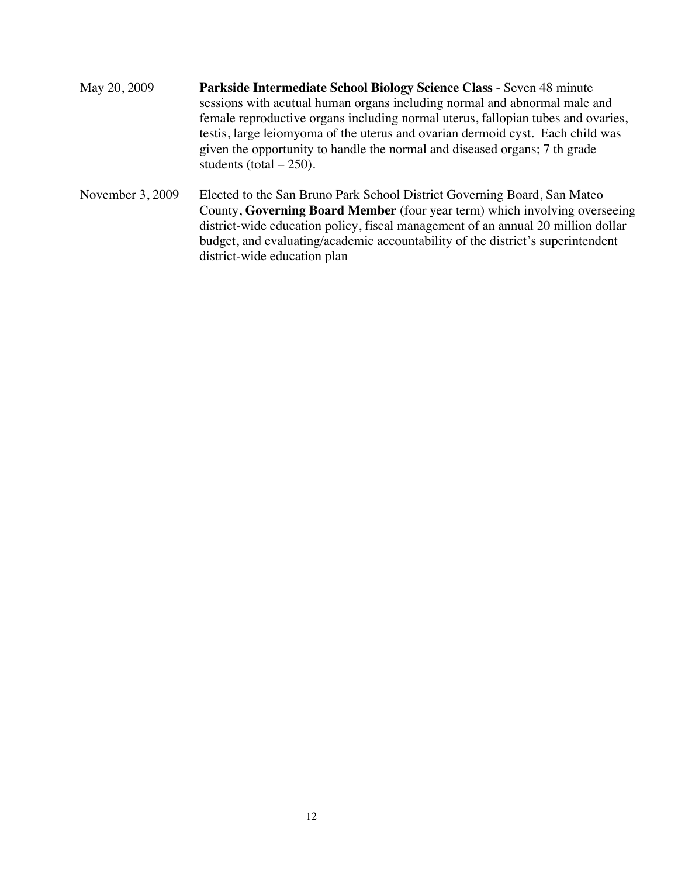- May 20, 2009 **Parkside Intermediate School Biology Science Class** Seven 48 minute sessions with acutual human organs including normal and abnormal male and female reproductive organs including normal uterus, fallopian tubes and ovaries, testis, large leiomyoma of the uterus and ovarian dermoid cyst. Each child was given the opportunity to handle the normal and diseased organs; 7 th grade students (total  $-250$ ).
- November 3, 2009 Elected to the San Bruno Park School District Governing Board, San Mateo County, **Governing Board Member** (four year term) which involving overseeing district-wide education policy, fiscal management of an annual 20 million dollar budget, and evaluating/academic accountability of the district's superintendent district-wide education plan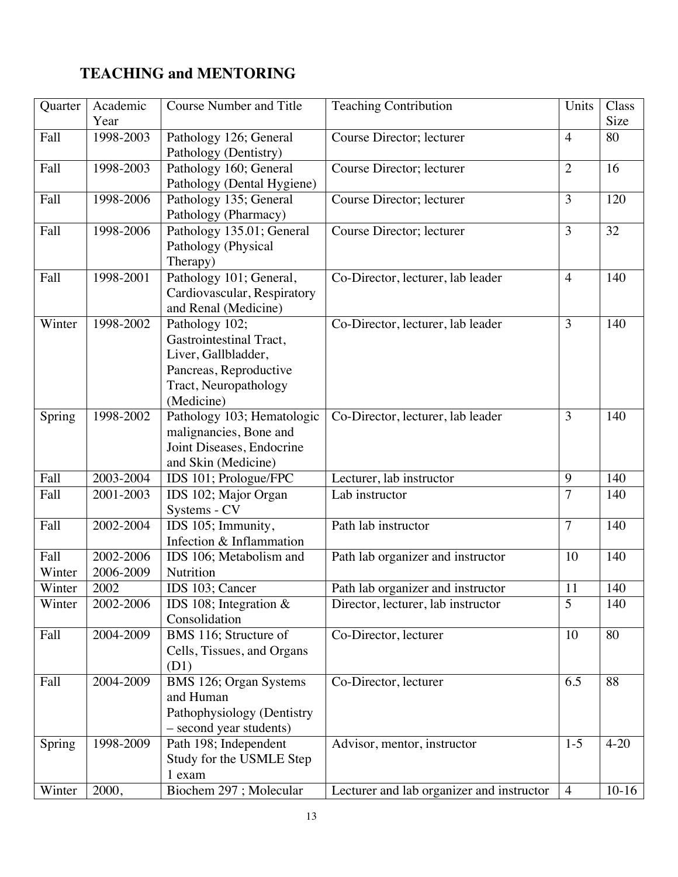# **TEACHING and MENTORING**

| Quarter | Academic  | <b>Course Number and Title</b> | <b>Teaching Contribution</b>              | Units          | Class<br>Size |
|---------|-----------|--------------------------------|-------------------------------------------|----------------|---------------|
|         | Year      |                                |                                           |                |               |
| Fall    | 1998-2003 | Pathology 126; General         | Course Director; lecturer                 | $\overline{4}$ | 80            |
|         |           | Pathology (Dentistry)          |                                           |                |               |
| Fall    | 1998-2003 | Pathology 160; General         | Course Director; lecturer                 | $\overline{2}$ | 16            |
|         |           | Pathology (Dental Hygiene)     |                                           |                |               |
| Fall    | 1998-2006 | Pathology 135; General         | Course Director; lecturer                 | 3              | 120           |
|         |           | Pathology (Pharmacy)           |                                           |                |               |
| Fall    | 1998-2006 | Pathology 135.01; General      | Course Director; lecturer                 | 3              | 32            |
|         |           | Pathology (Physical            |                                           |                |               |
|         |           | Therapy)                       |                                           |                |               |
| Fall    | 1998-2001 | Pathology 101; General,        | Co-Director, lecturer, lab leader         | $\overline{4}$ | 140           |
|         |           | Cardiovascular, Respiratory    |                                           |                |               |
|         |           | and Renal (Medicine)           |                                           |                |               |
| Winter  | 1998-2002 | Pathology 102;                 | Co-Director, lecturer, lab leader         | 3              | 140           |
|         |           | Gastrointestinal Tract,        |                                           |                |               |
|         |           | Liver, Gallbladder,            |                                           |                |               |
|         |           | Pancreas, Reproductive         |                                           |                |               |
|         |           | Tract, Neuropathology          |                                           |                |               |
|         |           | (Medicine)                     |                                           |                |               |
| Spring  | 1998-2002 | Pathology 103; Hematologic     | Co-Director, lecturer, lab leader         | 3              | 140           |
|         |           | malignancies, Bone and         |                                           |                |               |
|         |           | Joint Diseases, Endocrine      |                                           |                |               |
|         |           | and Skin (Medicine)            |                                           |                |               |
| Fall    | 2003-2004 | IDS 101; Prologue/FPC          | Lecturer, lab instructor                  | 9              | 140           |
| Fall    | 2001-2003 | IDS 102; Major Organ           | Lab instructor                            | 7              | 140           |
|         |           | Systems - CV                   |                                           |                |               |
| Fall    | 2002-2004 | IDS 105; Immunity,             | Path lab instructor                       | $\overline{7}$ | 140           |
|         |           | Infection & Inflammation       |                                           |                |               |
| Fall    | 2002-2006 | IDS 106; Metabolism and        | Path lab organizer and instructor         | 10             | 140           |
| Winter  | 2006-2009 | Nutrition                      |                                           |                |               |
| Winter  | 2002      | IDS 103; Cancer                | Path lab organizer and instructor         | 11             | 140           |
| Winter  | 2002-2006 | IDS 108; Integration $&$       | Director, lecturer, lab instructor        | 5              | 140           |
|         |           | Consolidation                  |                                           |                |               |
| Fall    | 2004-2009 | BMS 116; Structure of          | Co-Director, lecturer                     | 10             | 80            |
|         |           | Cells, Tissues, and Organs     |                                           |                |               |
|         |           | (D1)                           |                                           |                |               |
| Fall    | 2004-2009 | BMS 126; Organ Systems         | Co-Director, lecturer                     | 6.5            | 88            |
|         |           | and Human                      |                                           |                |               |
|         |           | Pathophysiology (Dentistry     |                                           |                |               |
|         |           | - second year students)        |                                           |                |               |
| Spring  | 1998-2009 | Path 198; Independent          | Advisor, mentor, instructor               | $1 - 5$        | $4 - 20$      |
|         |           | Study for the USMLE Step       |                                           |                |               |
|         |           | 1 exam                         |                                           |                |               |
| Winter  | 2000,     | Biochem 297; Molecular         | Lecturer and lab organizer and instructor | $\overline{4}$ | $10-16$       |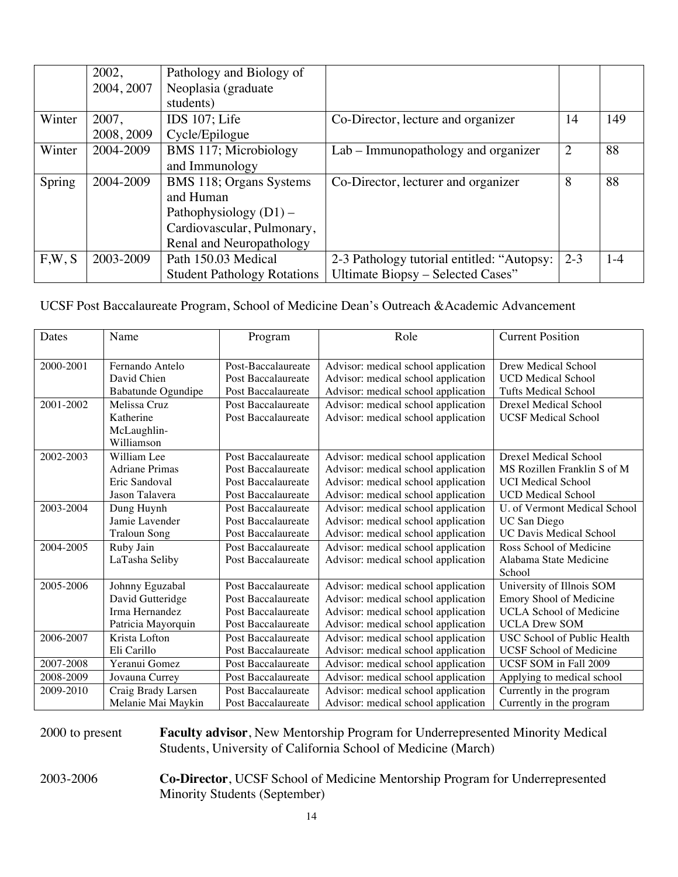|        | 2002,      | Pathology and Biology of           |                                            |                |       |
|--------|------------|------------------------------------|--------------------------------------------|----------------|-------|
|        | 2004, 2007 | Neoplasia (graduate                |                                            |                |       |
|        |            | students)                          |                                            |                |       |
| Winter | 2007,      | IDS $107$ ; Life                   | Co-Director, lecture and organizer         | 14             | 149   |
|        | 2008, 2009 | Cycle/Epilogue                     |                                            |                |       |
| Winter | 2004-2009  | BMS 117; Microbiology              | Lab – Immunopathology and organizer        | $\overline{2}$ | 88    |
|        |            | and Immunology                     |                                            |                |       |
| Spring | 2004-2009  | BMS 118; Organs Systems            | Co-Director, lecturer and organizer        | 8              | 88    |
|        |            | and Human                          |                                            |                |       |
|        |            | Pathophysiology $(D1)$ –           |                                            |                |       |
|        |            | Cardiovascular, Pulmonary,         |                                            |                |       |
|        |            | Renal and Neuropathology           |                                            |                |       |
| F,W, S | 2003-2009  | Path 150.03 Medical                | 2-3 Pathology tutorial entitled: "Autopsy: | $2 - 3$        | $1-4$ |
|        |            | <b>Student Pathology Rotations</b> | Ultimate Biopsy - Selected Cases"          |                |       |

UCSF Post Baccalaureate Program, School of Medicine Dean's Outreach &Academic Advancement

| Dates     | Name                  | Program            | Role                                | <b>Current Position</b>        |
|-----------|-----------------------|--------------------|-------------------------------------|--------------------------------|
|           |                       |                    |                                     |                                |
| 2000-2001 | Fernando Antelo       | Post-Baccalaureate | Advisor: medical school application | Drew Medical School            |
|           | David Chien           | Post Baccalaureate | Advisor: medical school application | <b>UCD</b> Medical School      |
|           | Babatunde Ogundipe    | Post Baccalaureate | Advisor: medical school application | <b>Tufts Medical School</b>    |
| 2001-2002 | Melissa Cruz          | Post Baccalaureate | Advisor: medical school application | Drexel Medical School          |
|           | Katherine             | Post Baccalaureate | Advisor: medical school application | <b>UCSF Medical School</b>     |
|           | McLaughlin-           |                    |                                     |                                |
|           | Williamson            |                    |                                     |                                |
| 2002-2003 | William Lee           | Post Baccalaureate | Advisor: medical school application | <b>Drexel Medical School</b>   |
|           | <b>Adriane Primas</b> | Post Baccalaureate | Advisor: medical school application | MS Rozillen Franklin S of M    |
|           | Eric Sandoval         | Post Baccalaureate | Advisor: medical school application | <b>UCI Medical School</b>      |
|           | Jason Talavera        | Post Baccalaureate | Advisor: medical school application | <b>UCD</b> Medical School      |
| 2003-2004 | Dung Huynh            | Post Baccalaureate | Advisor: medical school application | U. of Vermont Medical School   |
|           | Jamie Lavender        | Post Baccalaureate | Advisor: medical school application | UC San Diego                   |
|           | <b>Traloun Song</b>   | Post Baccalaureate | Advisor: medical school application | <b>UC Davis Medical School</b> |
| 2004-2005 | Ruby Jain             | Post Baccalaureate | Advisor: medical school application | Ross School of Medicine        |
|           | LaTasha Seliby        | Post Baccalaureate | Advisor: medical school application | Alabama State Medicine         |
|           |                       |                    |                                     | School                         |
| 2005-2006 | Johnny Eguzabal       | Post Baccalaureate | Advisor: medical school application | University of Illnois SOM      |
|           | David Gutteridge      | Post Baccalaureate | Advisor: medical school application | Emory Shool of Medicine        |
|           | Irma Hernandez        | Post Baccalaureate | Advisor: medical school application | <b>UCLA School of Medicine</b> |
|           | Patricia Mayorquin    | Post Baccalaureate | Advisor: medical school application | <b>UCLA Drew SOM</b>           |
| 2006-2007 | Krista Lofton         | Post Baccalaureate | Advisor: medical school application | USC School of Public Health    |
|           | Eli Carillo           | Post Baccalaureate | Advisor: medical school application | <b>UCSF</b> School of Medicine |
| 2007-2008 | Yeranui Gomez         | Post Baccalaureate | Advisor: medical school application | UCSF SOM in Fall 2009          |
| 2008-2009 | Jovauna Currey        | Post Baccalaureate | Advisor: medical school application | Applying to medical school     |
| 2009-2010 | Craig Brady Larsen    | Post Baccalaureate | Advisor: medical school application | Currently in the program       |
|           | Melanie Mai Maykin    | Post Baccalaureate | Advisor: medical school application | Currently in the program       |

2000 to present **Faculty advisor**, New Mentorship Program for Underrepresented Minority Medical Students, University of California School of Medicine (March)

2003-2006 **Co-Director**, UCSF School of Medicine Mentorship Program for Underrepresented Minority Students (September)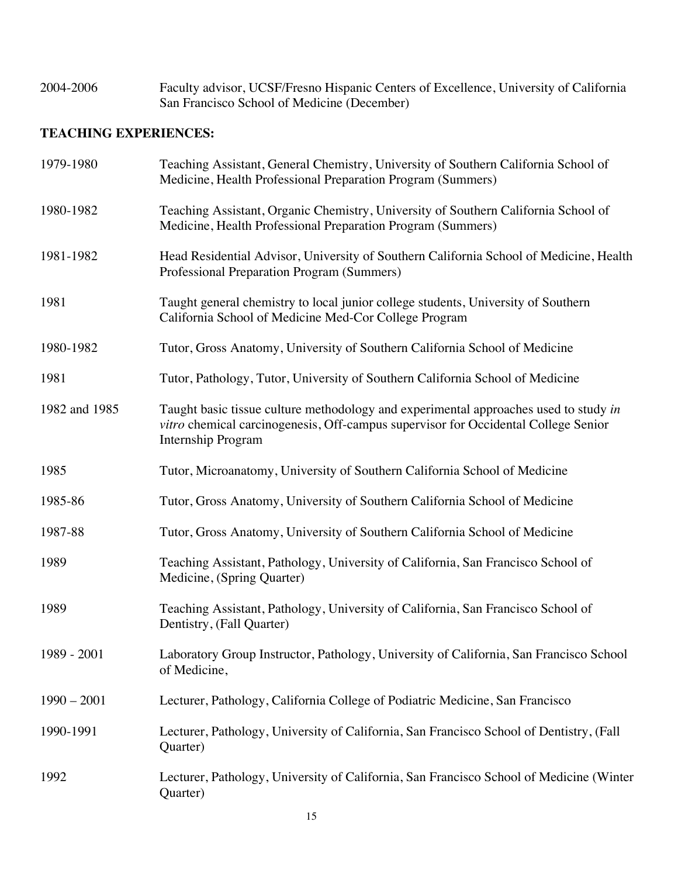| 2004-2006 | Faculty advisor, UCSF/Fresno Hispanic Centers of Excellence, University of California |
|-----------|---------------------------------------------------------------------------------------|
|           | San Francisco School of Medicine (December)                                           |

## **TEACHING EXPERIENCES:**

| 1979-1980     | Teaching Assistant, General Chemistry, University of Southern California School of<br>Medicine, Health Professional Preparation Program (Summers)                                                       |
|---------------|---------------------------------------------------------------------------------------------------------------------------------------------------------------------------------------------------------|
| 1980-1982     | Teaching Assistant, Organic Chemistry, University of Southern California School of<br>Medicine, Health Professional Preparation Program (Summers)                                                       |
| 1981-1982     | Head Residential Advisor, University of Southern California School of Medicine, Health<br>Professional Preparation Program (Summers)                                                                    |
| 1981          | Taught general chemistry to local junior college students, University of Southern<br>California School of Medicine Med-Cor College Program                                                              |
| 1980-1982     | Tutor, Gross Anatomy, University of Southern California School of Medicine                                                                                                                              |
| 1981          | Tutor, Pathology, Tutor, University of Southern California School of Medicine                                                                                                                           |
| 1982 and 1985 | Taught basic tissue culture methodology and experimental approaches used to study in<br>vitro chemical carcinogenesis, Off-campus supervisor for Occidental College Senior<br><b>Internship Program</b> |
| 1985          | Tutor, Microanatomy, University of Southern California School of Medicine                                                                                                                               |
| 1985-86       | Tutor, Gross Anatomy, University of Southern California School of Medicine                                                                                                                              |
| 1987-88       | Tutor, Gross Anatomy, University of Southern California School of Medicine                                                                                                                              |
| 1989          | Teaching Assistant, Pathology, University of California, San Francisco School of<br>Medicine, (Spring Quarter)                                                                                          |
| 1989          | Teaching Assistant, Pathology, University of California, San Francisco School of<br>Dentistry, (Fall Quarter)                                                                                           |
| 1989 - 2001   | Laboratory Group Instructor, Pathology, University of California, San Francisco School<br>of Medicine,                                                                                                  |
| $1990 - 2001$ | Lecturer, Pathology, California College of Podiatric Medicine, San Francisco                                                                                                                            |
| 1990-1991     | Lecturer, Pathology, University of California, San Francisco School of Dentistry, (Fall<br>Quarter)                                                                                                     |
| 1992          | Lecturer, Pathology, University of California, San Francisco School of Medicine (Winter<br>Quarter)                                                                                                     |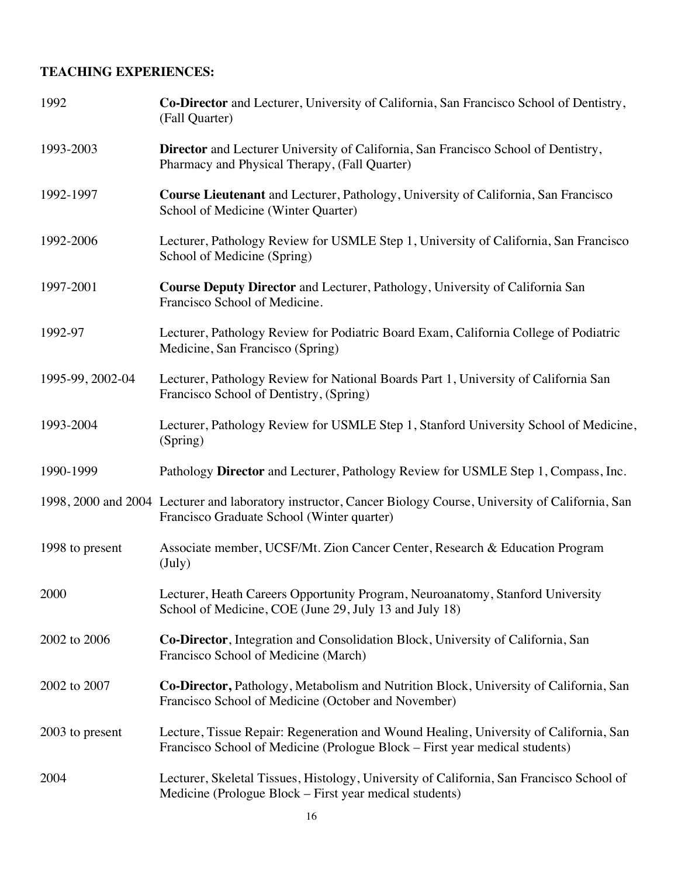## **TEACHING EXPERIENCES:**

| 1992             | Co-Director and Lecturer, University of California, San Francisco School of Dentistry,<br>(Fall Quarter)                                                             |
|------------------|----------------------------------------------------------------------------------------------------------------------------------------------------------------------|
| 1993-2003        | Director and Lecturer University of California, San Francisco School of Dentistry,<br>Pharmacy and Physical Therapy, (Fall Quarter)                                  |
| 1992-1997        | Course Lieutenant and Lecturer, Pathology, University of California, San Francisco<br>School of Medicine (Winter Quarter)                                            |
| 1992-2006        | Lecturer, Pathology Review for USMLE Step 1, University of California, San Francisco<br>School of Medicine (Spring)                                                  |
| 1997-2001        | <b>Course Deputy Director</b> and Lecturer, Pathology, University of California San<br>Francisco School of Medicine.                                                 |
| 1992-97          | Lecturer, Pathology Review for Podiatric Board Exam, California College of Podiatric<br>Medicine, San Francisco (Spring)                                             |
| 1995-99, 2002-04 | Lecturer, Pathology Review for National Boards Part 1, University of California San<br>Francisco School of Dentistry, (Spring)                                       |
| 1993-2004        | Lecturer, Pathology Review for USMLE Step 1, Stanford University School of Medicine,<br>(Spring)                                                                     |
| 1990-1999        | Pathology Director and Lecturer, Pathology Review for USMLE Step 1, Compass, Inc.                                                                                    |
|                  | 1998, 2000 and 2004 Lecturer and laboratory instructor, Cancer Biology Course, University of California, San<br>Francisco Graduate School (Winter quarter)           |
| 1998 to present  | Associate member, UCSF/Mt. Zion Cancer Center, Research & Education Program<br>$(\mathrm{July})$                                                                     |
| 2000             | Lecturer, Heath Careers Opportunity Program, Neuroanatomy, Stanford University<br>School of Medicine, COE (June 29, July 13 and July 18)                             |
| 2002 to 2006     | Co-Director, Integration and Consolidation Block, University of California, San<br>Francisco School of Medicine (March)                                              |
| 2002 to 2007     | Co-Director, Pathology, Metabolism and Nutrition Block, University of California, San<br>Francisco School of Medicine (October and November)                         |
| 2003 to present  | Lecture, Tissue Repair: Regeneration and Wound Healing, University of California, San<br>Francisco School of Medicine (Prologue Block – First year medical students) |
| 2004             | Lecturer, Skeletal Tissues, Histology, University of California, San Francisco School of<br>Medicine (Prologue Block – First year medical students)                  |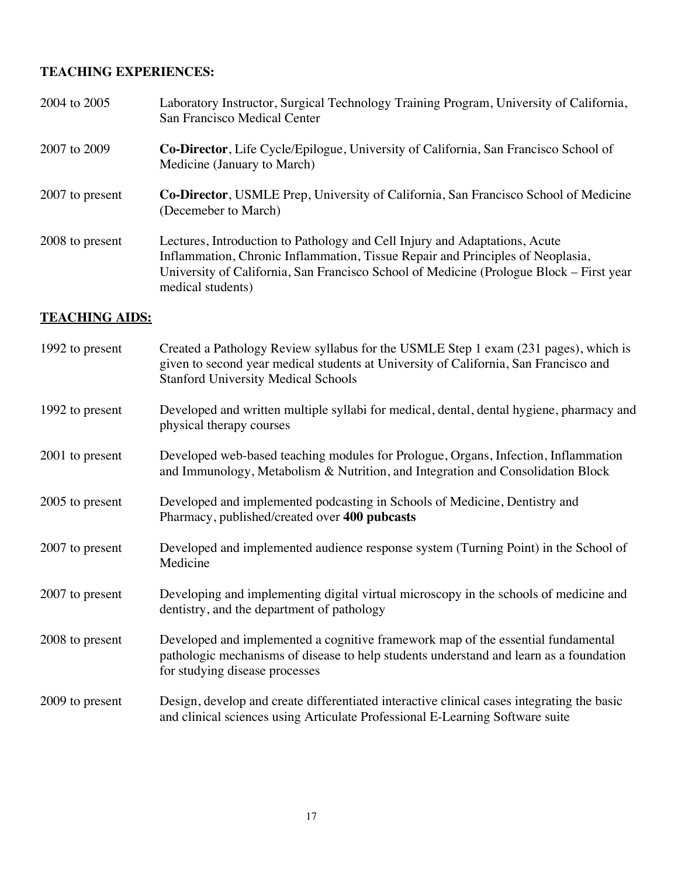## **TEACHING EXPERIENCES:**

| 2004 to 2005    | Laboratory Instructor, Surgical Technology Training Program, University of California,<br>San Francisco Medical Center                                                                                                                                                       |
|-----------------|------------------------------------------------------------------------------------------------------------------------------------------------------------------------------------------------------------------------------------------------------------------------------|
| 2007 to 2009    | <b>Co-Director</b> , Life Cycle/Epilogue, University of California, San Francisco School of<br>Medicine (January to March)                                                                                                                                                   |
| 2007 to present | <b>Co-Director</b> , USMLE Prep, University of California, San Francisco School of Medicine<br>(Decemeber to March)                                                                                                                                                          |
| 2008 to present | Lectures, Introduction to Pathology and Cell Injury and Adaptations, Acute<br>Inflammation, Chronic Inflammation, Tissue Repair and Principles of Neoplasia,<br>University of California, San Francisco School of Medicine (Prologue Block – First year<br>medical students) |

## **TEACHING AIDS:**

| 1992 to present | Created a Pathology Review syllabus for the USMLE Step 1 exam (231 pages), which is<br>given to second year medical students at University of California, San Francisco and<br><b>Stanford University Medical Schools</b> |
|-----------------|---------------------------------------------------------------------------------------------------------------------------------------------------------------------------------------------------------------------------|
| 1992 to present | Developed and written multiple syllabi for medical, dental, dental hygiene, pharmacy and<br>physical therapy courses                                                                                                      |
| 2001 to present | Developed web-based teaching modules for Prologue, Organs, Infection, Inflammation<br>and Immunology, Metabolism & Nutrition, and Integration and Consolidation Block                                                     |
| 2005 to present | Developed and implemented podcasting in Schools of Medicine, Dentistry and<br>Pharmacy, published/created over 400 pubcasts                                                                                               |
| 2007 to present | Developed and implemented audience response system (Turning Point) in the School of<br>Medicine                                                                                                                           |
| 2007 to present | Developing and implementing digital virtual microscopy in the schools of medicine and<br>dentistry, and the department of pathology                                                                                       |
| 2008 to present | Developed and implemented a cognitive framework map of the essential fundamental<br>pathologic mechanisms of disease to help students understand and learn as a foundation<br>for studying disease processes              |
| 2009 to present | Design, develop and create differentiated interactive clinical cases integrating the basic<br>and clinical sciences using Articulate Professional E-Learning Software suite                                               |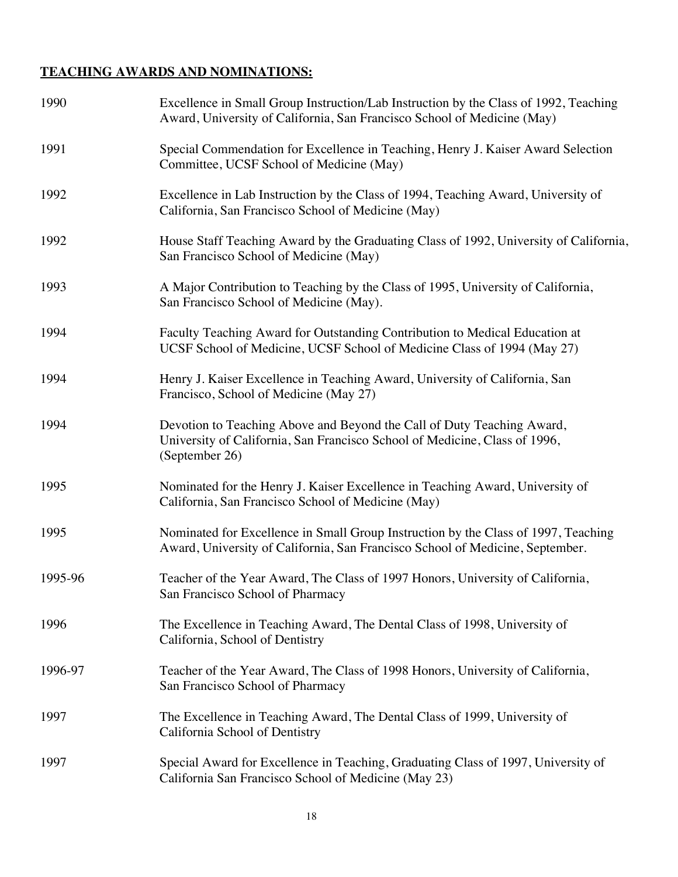## **TEACHING AWARDS AND NOMINATIONS:**

| 1990    | Excellence in Small Group Instruction/Lab Instruction by the Class of 1992, Teaching<br>Award, University of California, San Francisco School of Medicine (May)        |
|---------|------------------------------------------------------------------------------------------------------------------------------------------------------------------------|
| 1991    | Special Commendation for Excellence in Teaching, Henry J. Kaiser Award Selection<br>Committee, UCSF School of Medicine (May)                                           |
| 1992    | Excellence in Lab Instruction by the Class of 1994, Teaching Award, University of<br>California, San Francisco School of Medicine (May)                                |
| 1992    | House Staff Teaching Award by the Graduating Class of 1992, University of California,<br>San Francisco School of Medicine (May)                                        |
| 1993    | A Major Contribution to Teaching by the Class of 1995, University of California,<br>San Francisco School of Medicine (May).                                            |
| 1994    | Faculty Teaching Award for Outstanding Contribution to Medical Education at<br>UCSF School of Medicine, UCSF School of Medicine Class of 1994 (May 27)                 |
| 1994    | Henry J. Kaiser Excellence in Teaching Award, University of California, San<br>Francisco, School of Medicine (May 27)                                                  |
| 1994    | Devotion to Teaching Above and Beyond the Call of Duty Teaching Award,<br>University of California, San Francisco School of Medicine, Class of 1996,<br>(September 26) |
| 1995    | Nominated for the Henry J. Kaiser Excellence in Teaching Award, University of<br>California, San Francisco School of Medicine (May)                                    |
| 1995    | Nominated for Excellence in Small Group Instruction by the Class of 1997, Teaching<br>Award, University of California, San Francisco School of Medicine, September.    |
| 1995-96 | Teacher of the Year Award, The Class of 1997 Honors, University of California,<br>San Francisco School of Pharmacy                                                     |
| 1996    | The Excellence in Teaching Award, The Dental Class of 1998, University of<br>California, School of Dentistry                                                           |
| 1996-97 | Teacher of the Year Award, The Class of 1998 Honors, University of California,<br>San Francisco School of Pharmacy                                                     |
| 1997    | The Excellence in Teaching Award, The Dental Class of 1999, University of<br>California School of Dentistry                                                            |
| 1997    | Special Award for Excellence in Teaching, Graduating Class of 1997, University of<br>California San Francisco School of Medicine (May 23)                              |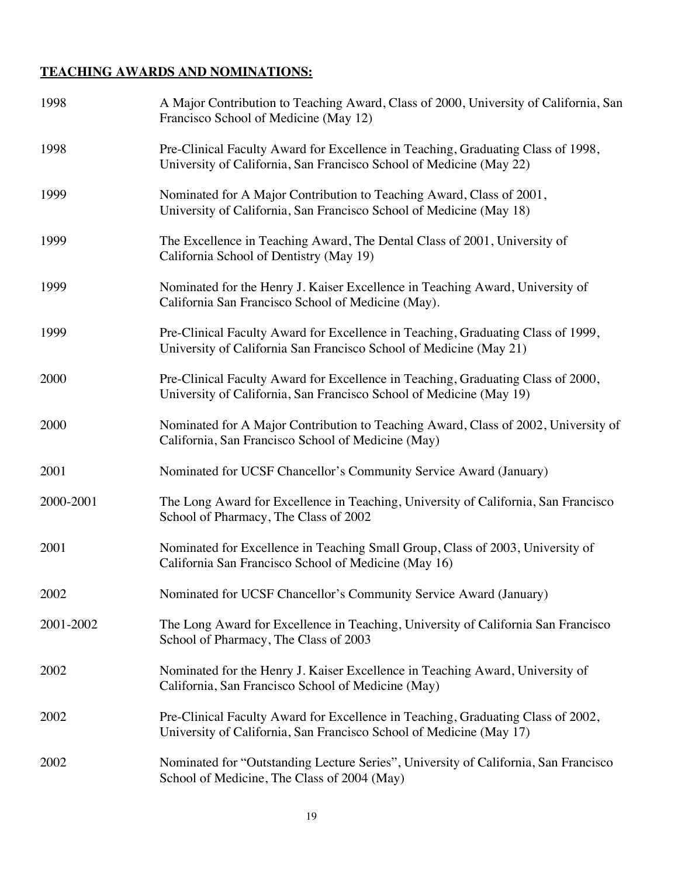## **TEACHING AWARDS AND NOMINATIONS:**

| 1998      | A Major Contribution to Teaching Award, Class of 2000, University of California, San<br>Francisco School of Medicine (May 12)                           |
|-----------|---------------------------------------------------------------------------------------------------------------------------------------------------------|
| 1998      | Pre-Clinical Faculty Award for Excellence in Teaching, Graduating Class of 1998,<br>University of California, San Francisco School of Medicine (May 22) |
| 1999      | Nominated for A Major Contribution to Teaching Award, Class of 2001,<br>University of California, San Francisco School of Medicine (May 18)             |
| 1999      | The Excellence in Teaching Award, The Dental Class of 2001, University of<br>California School of Dentistry (May 19)                                    |
| 1999      | Nominated for the Henry J. Kaiser Excellence in Teaching Award, University of<br>California San Francisco School of Medicine (May).                     |
| 1999      | Pre-Clinical Faculty Award for Excellence in Teaching, Graduating Class of 1999,<br>University of California San Francisco School of Medicine (May 21)  |
| 2000      | Pre-Clinical Faculty Award for Excellence in Teaching, Graduating Class of 2000,<br>University of California, San Francisco School of Medicine (May 19) |
| 2000      | Nominated for A Major Contribution to Teaching Award, Class of 2002, University of<br>California, San Francisco School of Medicine (May)                |
| 2001      | Nominated for UCSF Chancellor's Community Service Award (January)                                                                                       |
| 2000-2001 | The Long Award for Excellence in Teaching, University of California, San Francisco<br>School of Pharmacy, The Class of 2002                             |
| 2001      | Nominated for Excellence in Teaching Small Group, Class of 2003, University of<br>California San Francisco School of Medicine (May 16)                  |
| 2002      | Nominated for UCSF Chancellor's Community Service Award (January)                                                                                       |
| 2001-2002 | The Long Award for Excellence in Teaching, University of California San Francisco<br>School of Pharmacy, The Class of 2003                              |
| 2002      | Nominated for the Henry J. Kaiser Excellence in Teaching Award, University of<br>California, San Francisco School of Medicine (May)                     |
| 2002      | Pre-Clinical Faculty Award for Excellence in Teaching, Graduating Class of 2002,<br>University of California, San Francisco School of Medicine (May 17) |
| 2002      | Nominated for "Outstanding Lecture Series", University of California, San Francisco<br>School of Medicine, The Class of 2004 (May)                      |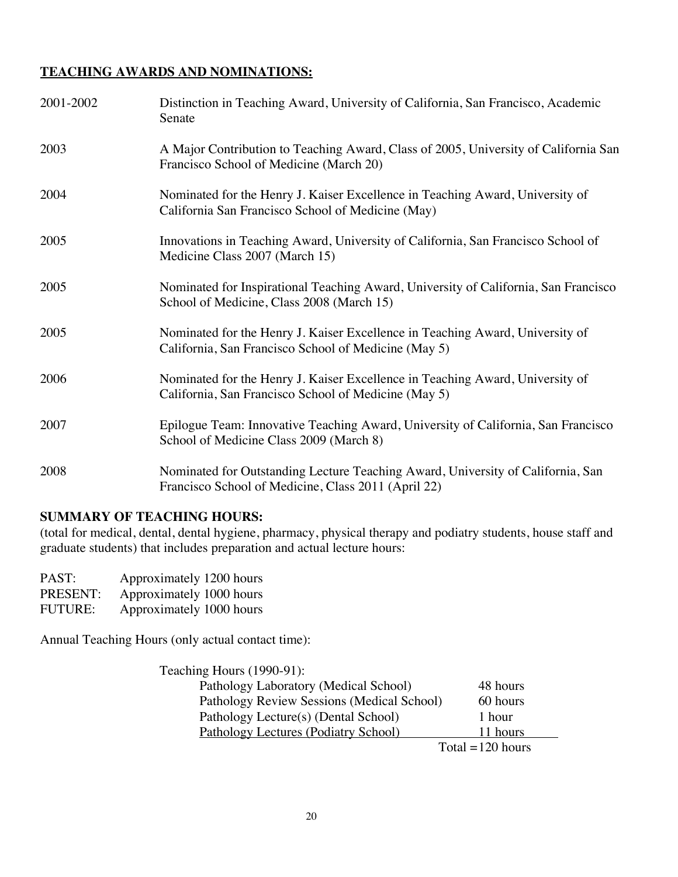## **TEACHING AWARDS AND NOMINATIONS:**

| 2001-2002 | Distinction in Teaching Award, University of California, San Francisco, Academic<br>Senate                                             |
|-----------|----------------------------------------------------------------------------------------------------------------------------------------|
| 2003      | A Major Contribution to Teaching Award, Class of 2005, University of California San<br>Francisco School of Medicine (March 20)         |
| 2004      | Nominated for the Henry J. Kaiser Excellence in Teaching Award, University of<br>California San Francisco School of Medicine (May)     |
| 2005      | Innovations in Teaching Award, University of California, San Francisco School of<br>Medicine Class 2007 (March 15)                     |
| 2005      | Nominated for Inspirational Teaching Award, University of California, San Francisco<br>School of Medicine, Class 2008 (March 15)       |
| 2005      | Nominated for the Henry J. Kaiser Excellence in Teaching Award, University of<br>California, San Francisco School of Medicine (May 5)  |
| 2006      | Nominated for the Henry J. Kaiser Excellence in Teaching Award, University of<br>California, San Francisco School of Medicine (May 5)  |
| 2007      | Epilogue Team: Innovative Teaching Award, University of California, San Francisco<br>School of Medicine Class 2009 (March 8)           |
| 2008      | Nominated for Outstanding Lecture Teaching Award, University of California, San<br>Francisco School of Medicine, Class 2011 (April 22) |

#### **SUMMARY OF TEACHING HOURS:**

(total for medical, dental, dental hygiene, pharmacy, physical therapy and podiatry students, house staff and graduate students) that includes preparation and actual lecture hours:

| PAST:          | Approximately 1200 hours |
|----------------|--------------------------|
| PRESENT:       | Approximately 1000 hours |
| <b>FUTURE:</b> | Approximately 1000 hours |

Annual Teaching Hours (only actual contact time):

| Teaching Hours (1990-91):                  |                    |
|--------------------------------------------|--------------------|
| Pathology Laboratory (Medical School)      | 48 hours           |
| Pathology Review Sessions (Medical School) | 60 hours           |
| Pathology Lecture(s) (Dental School)       | 1 hour             |
| Pathology Lectures (Podiatry School)       | 11 hours           |
|                                            | Total $=120$ hours |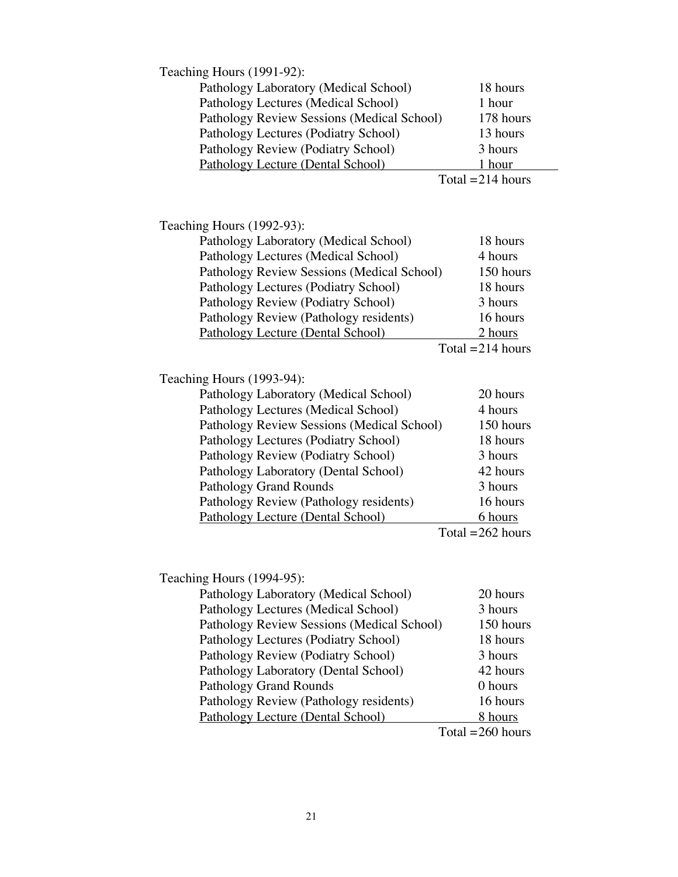| Teaching Hours (1991-92):                         |                     |  |
|---------------------------------------------------|---------------------|--|
| Pathology Laboratory (Medical School)<br>18 hours |                     |  |
| Pathology Lectures (Medical School)               | 1 hour              |  |
| Pathology Review Sessions (Medical School)        | 178 hours           |  |
| Pathology Lectures (Podiatry School)              | 13 hours            |  |
| Pathology Review (Podiatry School)                | 3 hours             |  |
| Pathology Lecture (Dental School)                 | 1 hour              |  |
|                                                   | Total $= 214$ hours |  |
|                                                   |                     |  |
|                                                   |                     |  |
| Teaching Hours (1992-93):                         |                     |  |
| Pathology Laboratory (Medical School)             | 18 hours            |  |
| Pathology Lectures (Medical School)               | 4 hours             |  |
| Pathology Review Sessions (Medical School)        | 150 hours           |  |
| Pathology Lectures (Podiatry School)              | 18 hours            |  |
| Pathology Review (Podiatry School)                | 3 hours             |  |
| Pathology Review (Pathology residents)            | 16 hours            |  |
| <b>Pathology Lecture (Dental School)</b>          | 2 hours             |  |
|                                                   | Total = $214$ hours |  |
|                                                   |                     |  |
| Teaching Hours (1993-94):                         |                     |  |
| Pathology Laboratory (Medical School)             | 20 hours            |  |
| Pathology Lectures (Medical School)               | 4 hours             |  |
| Pathology Review Sessions (Medical School)        | 150 hours           |  |
| Pathology Lectures (Podiatry School)              | 18 hours            |  |
| Pathology Review (Podiatry School)                | 3 hours             |  |
| Pathology Laboratory (Dental School)              | 42 hours            |  |
| Pathology Grand Rounds                            | 3 hours             |  |
| Pathology Review (Pathology residents)            | 16 hours            |  |
| Pathology Lecture (Dental School)                 | 6 hours             |  |
|                                                   | Total $=262$ hours  |  |
|                                                   |                     |  |
| Teaching Hours (1994-95):                         |                     |  |
| Pathology Laboratory (Medical School)             | 20 hours            |  |
| Pathology Lectures (Medical School)               | 3 hours             |  |
| Pathology Review Sessions (Medical School)        | 150 hours           |  |
| Pathology Lectures (Podiatry School)              | 18 hours            |  |
| Pathology Review (Podiatry School)                | 3 hours             |  |
| Pathology Laboratory (Dental School)              | 42 hours            |  |
| <b>Pathology Grand Rounds</b>                     | 0 hours             |  |
| Pathology Review (Pathology residents)            | 16 hours            |  |
| Pathology Lecture (Dental School)                 | 8 hours             |  |
|                                                   | Total $=$ 260 hours |  |
|                                                   |                     |  |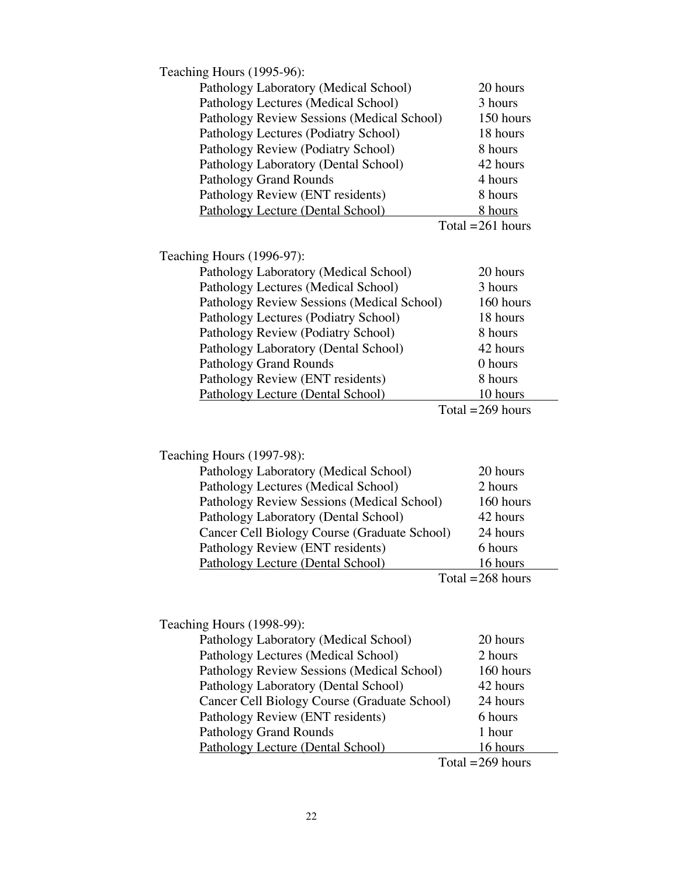| Teaching Hours (1995-96):                  |                     |
|--------------------------------------------|---------------------|
| Pathology Laboratory (Medical School)      | 20 hours            |
| Pathology Lectures (Medical School)        | 3 hours             |
| Pathology Review Sessions (Medical School) | 150 hours           |
| Pathology Lectures (Podiatry School)       | 18 hours            |
| Pathology Review (Podiatry School)         | 8 hours             |
| Pathology Laboratory (Dental School)       | 42 hours            |
| <b>Pathology Grand Rounds</b>              | 4 hours             |
| Pathology Review (ENT residents)           | 8 hours             |
| Pathology Lecture (Dental School)          | 8 hours             |
|                                            | Total = $261$ hours |
|                                            |                     |
| Teaching Hours (1996-97):                  |                     |
| Pathology Laboratory (Medical School)      | 20 hours            |
| Pathology Lectures (Medical School)        | 3 hours             |
| Pathology Review Sessions (Medical School) | 160 hours           |
| Pathology Lectures (Podiatry School)       | 18 hours            |
| Pathology Review (Podiatry School)         | 8 hours             |
| Pathology Laboratory (Dental School)       | 42 hours            |
| <b>Pathology Grand Rounds</b>              | 0 hours             |
| Pathology Review (ENT residents)           | 8 hours             |
| <b>Pathology Lecture (Dental School)</b>   | 10 hours            |
|                                            | Total $=$ 269 hours |
|                                            |                     |
|                                            |                     |

Teaching Hours (1997-98):

| Pathology Laboratory (Medical School)        | 20 hours  |
|----------------------------------------------|-----------|
| Pathology Lectures (Medical School)          | 2 hours   |
| Pathology Review Sessions (Medical School)   | 160 hours |
| Pathology Laboratory (Dental School)         | 42 hours  |
| Cancer Cell Biology Course (Graduate School) | 24 hours  |
| Pathology Review (ENT residents)             | 6 hours   |
| Pathology Lecture (Dental School)            | 16 hours  |
| m. 1                                         | 201       |

Total  $=268$  hours

| Teaching Hours (1998-99):                    |                     |
|----------------------------------------------|---------------------|
| Pathology Laboratory (Medical School)        | 20 hours            |
| Pathology Lectures (Medical School)          | 2 hours             |
| Pathology Review Sessions (Medical School)   | 160 hours           |
| Pathology Laboratory (Dental School)         | 42 hours            |
| Cancer Cell Biology Course (Graduate School) | 24 hours            |
| Pathology Review (ENT residents)             | 6 hours             |
| <b>Pathology Grand Rounds</b>                | 1 hour              |
| Pathology Lecture (Dental School)            | 16 hours            |
|                                              | Total $=$ 269 hours |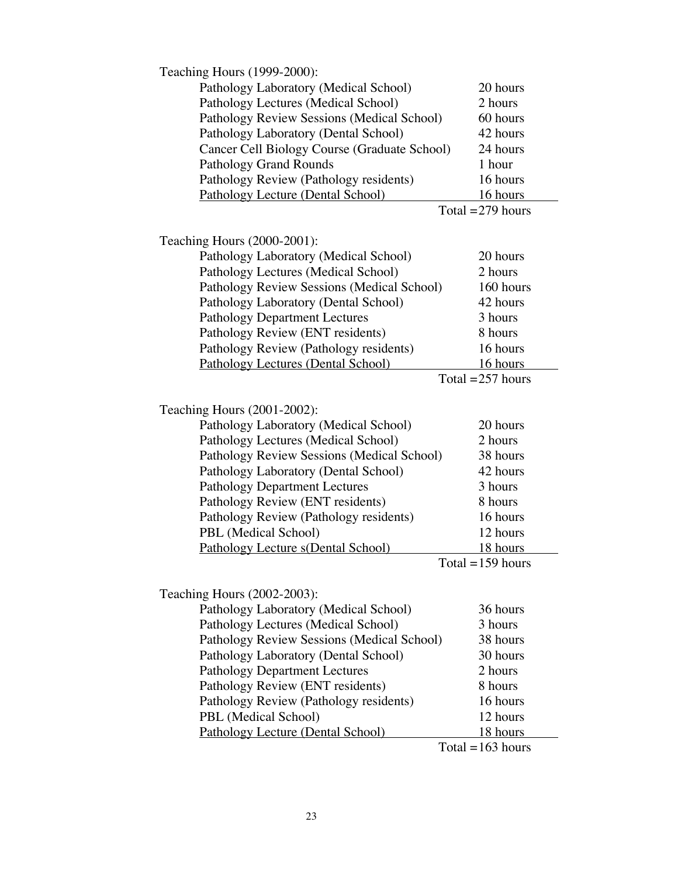| Teaching Hours (1999-2000):                  |                     |
|----------------------------------------------|---------------------|
| Pathology Laboratory (Medical School)        | 20 hours            |
| Pathology Lectures (Medical School)          | 2 hours             |
| Pathology Review Sessions (Medical School)   | 60 hours            |
| Pathology Laboratory (Dental School)         | 42 hours            |
| Cancer Cell Biology Course (Graduate School) | 24 hours            |
| <b>Pathology Grand Rounds</b>                | 1 hour              |
| Pathology Review (Pathology residents)       | 16 hours            |
| Pathology Lecture (Dental School)            | 16 hours            |
|                                              | Total = $279$ hours |
|                                              |                     |
| Teaching Hours (2000-2001):                  |                     |
| Pathology Laboratory (Medical School)        | 20 hours            |
| Pathology Lectures (Medical School)          | 2 hours             |
| Pathology Review Sessions (Medical School)   | 160 hours           |
| Pathology Laboratory (Dental School)         | 42 hours            |
| <b>Pathology Department Lectures</b>         | 3 hours             |
| Pathology Review (ENT residents)             | 8 hours             |
| Pathology Review (Pathology residents)       | 16 hours            |
| Pathology Lectures (Dental School)           | 16 hours            |
|                                              | Total = $257$ hours |
|                                              |                     |
| Teaching Hours (2001-2002):                  |                     |
| Pathology Laboratory (Medical School)        | 20 hours            |
| Pathology Lectures (Medical School)          | 2 hours             |
| Pathology Review Sessions (Medical School)   | 38 hours            |
| Pathology Laboratory (Dental School)         | 42 hours            |
| <b>Pathology Department Lectures</b>         | 3 hours             |
| Pathology Review (ENT residents)             | 8 hours             |
| Pathology Review (Pathology residents)       | 16 hours            |
| PBL (Medical School)                         | 12 hours            |
| Pathology Lecture s(Dental School)           | <u>18 hours</u>     |
|                                              | Total = $159$ hours |
|                                              |                     |
| Teaching Hours (2002-2003):                  |                     |
| Pathology Laboratory (Medical School)        | 36 hours            |
| Pathology Lectures (Medical School)          | 3 hours             |
| Pathology Review Sessions (Medical School)   | 38 hours            |
| Pathology Laboratory (Dental School)         | 30 hours            |
| <b>Pathology Department Lectures</b>         | 2 hours             |
| Pathology Review (ENT residents)             | 8 hours             |
| Pathology Review (Pathology residents)       | 16 hours            |
| PBL (Medical School)                         | 12 hours            |
| Pathology Lecture (Dental School)            | 18 hours            |
|                                              | Total = $163$ hours |
|                                              |                     |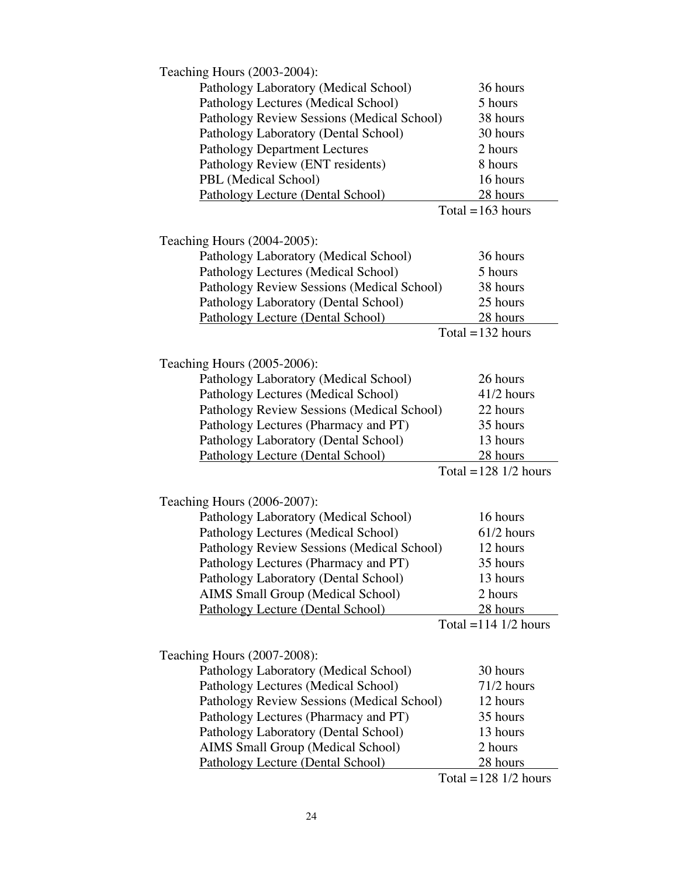| Teaching Hours (2003-2004):                |                                             |
|--------------------------------------------|---------------------------------------------|
| Pathology Laboratory (Medical School)      | 36 hours                                    |
| Pathology Lectures (Medical School)        | 5 hours                                     |
| Pathology Review Sessions (Medical School) | 38 hours                                    |
| Pathology Laboratory (Dental School)       | 30 hours                                    |
| <b>Pathology Department Lectures</b>       | 2 hours                                     |
| Pathology Review (ENT residents)           | 8 hours                                     |
| PBL (Medical School)                       | 16 hours                                    |
| Pathology Lecture (Dental School)          | 28 hours                                    |
|                                            | Total $=163$ hours                          |
|                                            |                                             |
| Teaching Hours (2004-2005):                |                                             |
| Pathology Laboratory (Medical School)      | 36 hours                                    |
| Pathology Lectures (Medical School)        | 5 hours                                     |
| Pathology Review Sessions (Medical School) | 38 hours                                    |
| Pathology Laboratory (Dental School)       | 25 hours                                    |
| Pathology Lecture (Dental School)          | 28 hours                                    |
|                                            | Total = $132$ hours                         |
|                                            |                                             |
| Teaching Hours (2005-2006):                |                                             |
| Pathology Laboratory (Medical School)      | 26 hours                                    |
| Pathology Lectures (Medical School)        | 41/2 hours                                  |
| Pathology Review Sessions (Medical School) | 22 hours                                    |
| Pathology Lectures (Pharmacy and PT)       | 35 hours                                    |
| Pathology Laboratory (Dental School)       | 13 hours                                    |
| <b>Pathology Lecture (Dental School)</b>   | 28 hours                                    |
|                                            | Total = $128$ 1/2 hours                     |
| Teaching Hours (2006-2007):                |                                             |
| Pathology Laboratory (Medical School)      | 16 hours                                    |
|                                            | 61/2 hours                                  |
| Pathology Lectures (Medical School)        | 12 hours                                    |
| Pathology Review Sessions (Medical School) |                                             |
| Pathology Lectures (Pharmacy and PT)       | 35 hours<br>13 hours                        |
| Pathology Laboratory (Dental School)       | 2 hours                                     |
| AIMS Small Group (Medical School)          |                                             |
| Pathology Lecture (Dental School)          | 28 hours<br>Total = $114 \frac{1}{2}$ hours |
|                                            |                                             |
| Teaching Hours (2007-2008):                |                                             |
| Pathology Laboratory (Medical School)      | 30 hours                                    |
| Pathology Lectures (Medical School)        | 71/2 hours                                  |
| Pathology Review Sessions (Medical School) | 12 hours                                    |
| Pathology Lectures (Pharmacy and PT)       | 35 hours                                    |
| Pathology Laboratory (Dental School)       | 13 hours                                    |
| AIMS Small Group (Medical School)          | 2 hours                                     |
| Pathology Lecture (Dental School)          | 28 hours                                    |
|                                            | Total = $128$ 1/2 hours                     |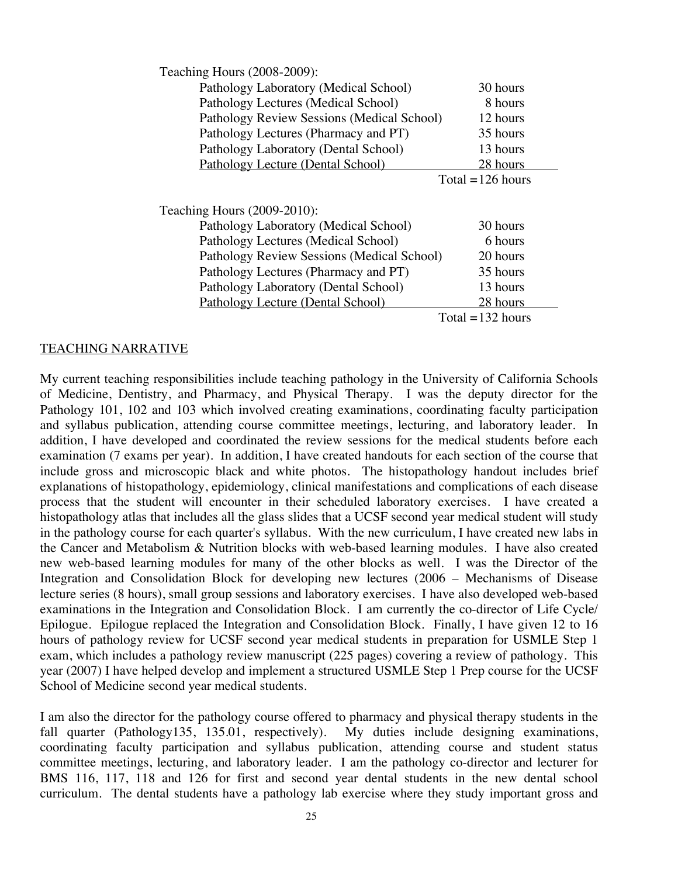| Teaching Hours (2008-2009):                |                     |
|--------------------------------------------|---------------------|
| Pathology Laboratory (Medical School)      | 30 hours            |
| Pathology Lectures (Medical School)        | 8 hours             |
| Pathology Review Sessions (Medical School) | 12 hours            |
| Pathology Lectures (Pharmacy and PT)       | 35 hours            |
| Pathology Laboratory (Dental School)       | 13 hours            |
| Pathology Lecture (Dental School)          | 28 hours            |
|                                            | Total = $126$ hours |
|                                            |                     |
| Teaching Hours (2009-2010):                |                     |
| Pathology Laboratory (Medical School)      | 30 hours            |
| Pathology Lectures (Medical School)        | 6 hours             |
| Pathology Review Sessions (Medical School) | 20 hours            |
| Pathology Lectures (Pharmacy and PT)       | 35 hours            |
| Pathology Laboratory (Dental School)       | 13 hours            |
| Pathology Lecture (Dental School)          | 28 hours            |
|                                            | Total = $132$ hours |

#### TEACHING NARRATIVE

My current teaching responsibilities include teaching pathology in the University of California Schools of Medicine, Dentistry, and Pharmacy, and Physical Therapy. I was the deputy director for the Pathology 101, 102 and 103 which involved creating examinations, coordinating faculty participation and syllabus publication, attending course committee meetings, lecturing, and laboratory leader. In addition, I have developed and coordinated the review sessions for the medical students before each examination (7 exams per year). In addition, I have created handouts for each section of the course that include gross and microscopic black and white photos. The histopathology handout includes brief explanations of histopathology, epidemiology, clinical manifestations and complications of each disease process that the student will encounter in their scheduled laboratory exercises. I have created a histopathology atlas that includes all the glass slides that a UCSF second year medical student will study in the pathology course for each quarter's syllabus. With the new curriculum, I have created new labs in the Cancer and Metabolism & Nutrition blocks with web-based learning modules. I have also created new web-based learning modules for many of the other blocks as well. I was the Director of the Integration and Consolidation Block for developing new lectures (2006 – Mechanisms of Disease lecture series (8 hours), small group sessions and laboratory exercises. I have also developed web-based examinations in the Integration and Consolidation Block. I am currently the co-director of Life Cycle/ Epilogue. Epilogue replaced the Integration and Consolidation Block. Finally, I have given 12 to 16 hours of pathology review for UCSF second year medical students in preparation for USMLE Step 1 exam, which includes a pathology review manuscript (225 pages) covering a review of pathology. This year (2007) I have helped develop and implement a structured USMLE Step 1 Prep course for the UCSF School of Medicine second year medical students.

I am also the director for the pathology course offered to pharmacy and physical therapy students in the fall quarter (Pathology135, 135.01, respectively). My duties include designing examinations, coordinating faculty participation and syllabus publication, attending course and student status committee meetings, lecturing, and laboratory leader. I am the pathology co-director and lecturer for BMS 116, 117, 118 and 126 for first and second year dental students in the new dental school curriculum. The dental students have a pathology lab exercise where they study important gross and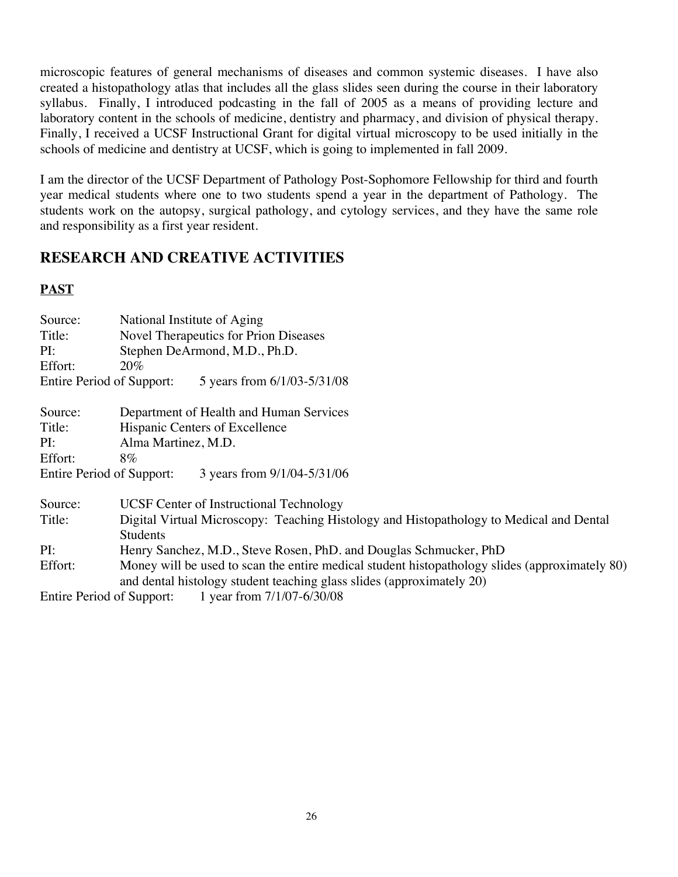microscopic features of general mechanisms of diseases and common systemic diseases. I have also created a histopathology atlas that includes all the glass slides seen during the course in their laboratory syllabus. Finally, I introduced podcasting in the fall of 2005 as a means of providing lecture and laboratory content in the schools of medicine, dentistry and pharmacy, and division of physical therapy. Finally, I received a UCSF Instructional Grant for digital virtual microscopy to be used initially in the schools of medicine and dentistry at UCSF, which is going to implemented in fall 2009.

I am the director of the UCSF Department of Pathology Post-Sophomore Fellowship for third and fourth year medical students where one to two students spend a year in the department of Pathology. The students work on the autopsy, surgical pathology, and cytology services, and they have the same role and responsibility as a first year resident.

# **RESEARCH AND CREATIVE ACTIVITIES**

## **PAST**

| Source:<br>Title:                | National Institute of Aging<br>Novel Therapeutics for Prion Diseases                           |  |  |
|----------------------------------|------------------------------------------------------------------------------------------------|--|--|
| PI:                              | Stephen DeArmond, M.D., Ph.D.                                                                  |  |  |
| Effort:                          | <b>20%</b>                                                                                     |  |  |
| <b>Entire Period of Support:</b> | 5 years from 6/1/03-5/31/08                                                                    |  |  |
| Source:                          | Department of Health and Human Services                                                        |  |  |
| Title:                           | Hispanic Centers of Excellence                                                                 |  |  |
| PI:                              | Alma Martinez, M.D.                                                                            |  |  |
| Effort:                          | $8\%$                                                                                          |  |  |
| Entire Period of Support:        | 3 years from 9/1/04-5/31/06                                                                    |  |  |
| Source:                          | <b>UCSF Center of Instructional Technology</b>                                                 |  |  |
| Title:                           | Digital Virtual Microscopy: Teaching Histology and Histopathology to Medical and Dental        |  |  |
|                                  | <b>Students</b>                                                                                |  |  |
| PI:                              | Henry Sanchez, M.D., Steve Rosen, PhD. and Douglas Schmucker, PhD                              |  |  |
| Effort:                          | Money will be used to scan the entire medical student histopathology slides (approximately 80) |  |  |
|                                  | and dental histology student teaching glass slides (approximately 20)                          |  |  |
| Entire Period of Support:        | 1 year from 7/1/07-6/30/08                                                                     |  |  |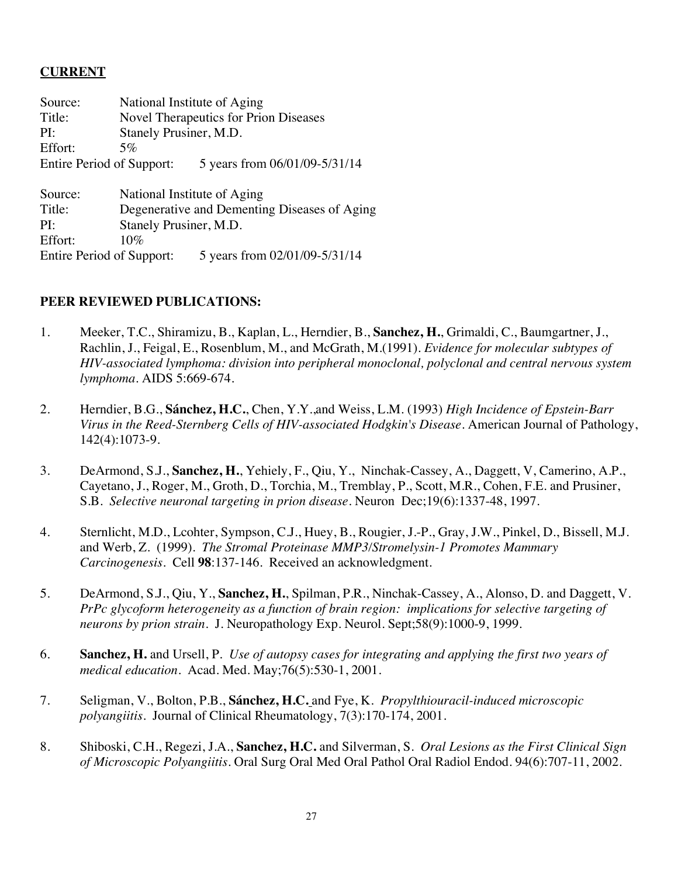## **CURRENT**

| Source: | National Institute of Aging      |                                              |  |
|---------|----------------------------------|----------------------------------------------|--|
| Title:  |                                  | Novel Therapeutics for Prion Diseases        |  |
| PI:     |                                  | Stanely Prusiner, M.D.                       |  |
| Effort: | 5%                               |                                              |  |
|         | Entire Period of Support:        | 5 years from 06/01/09-5/31/14                |  |
| Source: |                                  | National Institute of Aging                  |  |
| Title:  |                                  | Degenerative and Dementing Diseases of Aging |  |
| PI:     | Stanely Prusiner, M.D.           |                                              |  |
| Effort: | 10%                              |                                              |  |
|         | <b>Entire Period of Support:</b> | 5 years from 02/01/09-5/31/14                |  |

## **PEER REVIEWED PUBLICATIONS:**

- 1. Meeker, T.C., Shiramizu, B., Kaplan, L., Herndier, B., **Sanchez, H.**, Grimaldi, C., Baumgartner, J., Rachlin, J., Feigal, E., Rosenblum, M., and McGrath, M.(1991). *Evidence for molecular subtypes of HIV-associated lymphoma: division into peripheral monoclonal, polyclonal and central nervous system lymphoma*. AIDS 5:669-674.
- 2. Herndier, B.G., **Sánchez, H.C.**, Chen, Y.Y.,and Weiss, L.M. (1993) *High Incidence of Epstein-Barr Virus in the Reed-Sternberg Cells of HIV-associated Hodgkin's Disease.* American Journal of Pathology, 142(4):1073-9.
- 3. DeArmond, S.J., **Sanchez, H.**, Yehiely, F., Qiu, Y., Ninchak-Cassey, A., Daggett, V, Camerino, A.P., Cayetano, J., Roger, M., Groth, D., Torchia, M., Tremblay, P., Scott, M.R., Cohen, F.E. and Prusiner, S.B. *Selective neuronal targeting in prion disease*. Neuron Dec;19(6):1337-48, 1997.
- 4. Sternlicht, M.D., Lcohter, Sympson, C.J., Huey, B., Rougier, J.-P., Gray, J.W., Pinkel, D., Bissell, M.J. and Werb, Z. (1999). *The Stromal Proteinase MMP3/Stromelysin-1 Promotes Mammary Carcinogenesis.* Cell **98**:137-146. Received an acknowledgment.
- 5. DeArmond, S.J., Qiu, Y., **Sanchez, H.**, Spilman, P.R., Ninchak-Cassey, A., Alonso, D. and Daggett, V. *PrPc glycoform heterogeneity as a function of brain region: implications for selective targeting of neurons by prion strain*. J. Neuropathology Exp. Neurol. Sept;58(9):1000-9, 1999.
- 6. **Sanchez, H.** and Ursell, P*. Use of autopsy cases for integrating and applying the first two years of medical education.* Acad. Med. May;76(5):530-1, 2001.
- 7. Seligman, V., Bolton, P.B., **Sánchez, H.C.** and Fye, K. *Propylthiouracil-induced microscopic polyangiitis*. Journal of Clinical Rheumatology, 7(3):170-174, 2001.
- 8. Shiboski, C.H., Regezi, J.A., **Sanchez, H.C.** and Silverman, S. *Oral Lesions as the First Clinical Sign of Microscopic Polyangiitis*. Oral Surg Oral Med Oral Pathol Oral Radiol Endod. 94(6):707-11, 2002.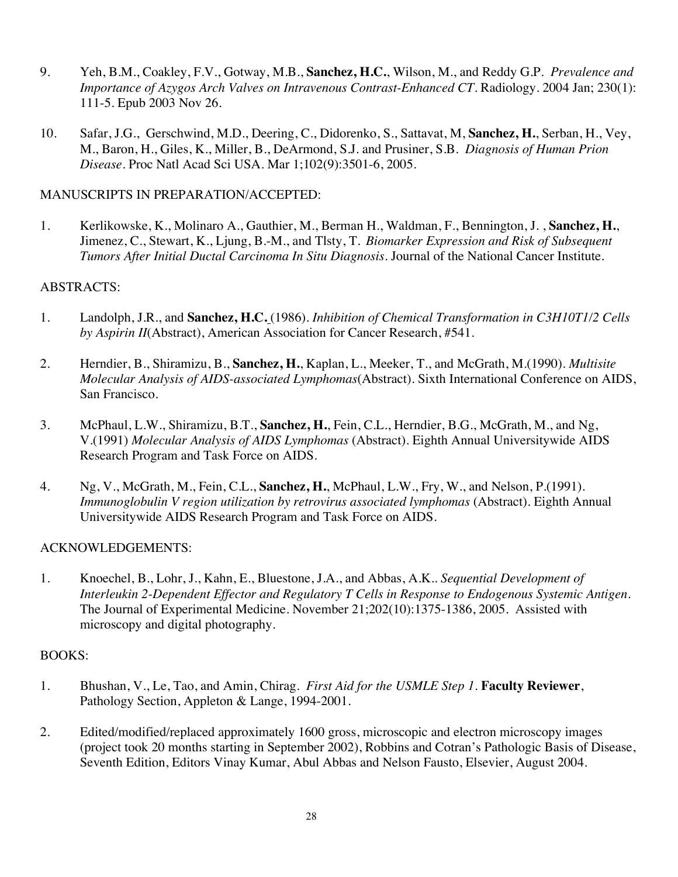- 9. Yeh, B.M., Coakley, F.V., Gotway, M.B., **Sanchez, H.C.**, Wilson, M., and Reddy G.P. *Prevalence and Importance of Azygos Arch Valves on Intravenous Contrast-Enhanced CT*. Radiology. 2004 Jan; 230(1): 111-5. Epub 2003 Nov 26.
- 10. Safar, J.G., Gerschwind, M.D., Deering, C., Didorenko, S., Sattavat, M, **Sanchez, H.**, Serban, H., Vey, M., Baron, H., Giles, K., Miller, B., DeArmond, S.J. and Prusiner, S.B. *Diagnosis of Human Prion Disease*. Proc Natl Acad Sci USA. Mar 1;102(9):3501-6, 2005.

## MANUSCRIPTS IN PREPARATION/ACCEPTED:

1. Kerlikowske, K., Molinaro A., Gauthier, M., Berman H., Waldman, F., Bennington, J. , **Sanchez, H.**, Jimenez, C., Stewart, K., Ljung, B.-M., and Tlsty, T. *Biomarker Expression and Risk of Subsequent Tumors After Initial Ductal Carcinoma In Situ Diagnosis*. Journal of the National Cancer Institute.

## ABSTRACTS:

- 1. Landolph, J.R., and **Sanchez, H.C.** (1986). *Inhibition of Chemical Transformation in C3H10T1/2 Cells by Aspirin II*(Abstract), American Association for Cancer Research, #541.
- 2. Herndier, B., Shiramizu, B., **Sanchez, H.**, Kaplan, L., Meeker, T., and McGrath, M.(1990). *Multisite Molecular Analysis of AIDS-associated Lymphomas*(Abstract). Sixth International Conference on AIDS, San Francisco.
- 3. McPhaul, L.W., Shiramizu, B.T., **Sanchez, H.**, Fein, C.L., Herndier, B.G., McGrath, M., and Ng, V.(1991) *Molecular Analysis of AIDS Lymphomas* (Abstract). Eighth Annual Universitywide AIDS Research Program and Task Force on AIDS.
- 4. Ng, V., McGrath, M., Fein, C.L., **Sanchez, H.**, McPhaul, L.W., Fry, W., and Nelson, P.(1991). *Immunoglobulin V region utilization by retrovirus associated lymphomas (Abstract). Eighth Annual* Universitywide AIDS Research Program and Task Force on AIDS.

## ACKNOWLEDGEMENTS:

1. Knoechel, B., Lohr, J., Kahn, E., Bluestone, J.A., and Abbas, A.K.. *Sequential Development of Interleukin 2-Dependent Effector and Regulatory T Cells in Response to Endogenous Systemic Antigen*. The Journal of Experimental Medicine. November 21;202(10):1375-1386, 2005. Assisted with microscopy and digital photography.

## BOOKS:

- 1. Bhushan, V., Le, Tao, and Amin, Chirag. *First Aid for the USMLE Step 1*. **Faculty Reviewer**, Pathology Section, Appleton & Lange, 1994-2001.
- 2. Edited/modified/replaced approximately 1600 gross, microscopic and electron microscopy images (project took 20 months starting in September 2002), Robbins and Cotran's Pathologic Basis of Disease, Seventh Edition, Editors Vinay Kumar, Abul Abbas and Nelson Fausto, Elsevier, August 2004.